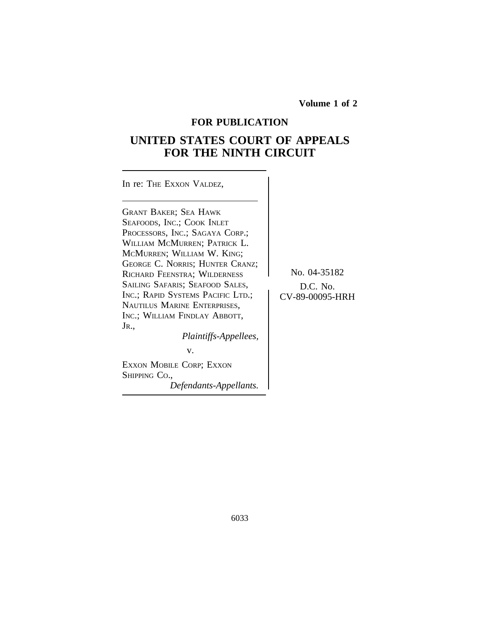**Volume 1 of 2**

# **FOR PUBLICATION**

# **UNITED STATES COURT OF APPEALS FOR THE NINTH CIRCUIT**

| In re: THE EXXON VALDEZ,                                                                                                                                                                                                                                                                                                                                                                                                                   |                                             |
|--------------------------------------------------------------------------------------------------------------------------------------------------------------------------------------------------------------------------------------------------------------------------------------------------------------------------------------------------------------------------------------------------------------------------------------------|---------------------------------------------|
| <b>GRANT BAKER; SEA HAWK</b><br>SEAFOODS, INC.; COOK INLET<br>PROCESSORS, INC.; SAGAYA CORP.;<br>WILLIAM MCMURREN; PATRICK L.<br>MCMURREN; WILLIAM W. KING;<br>GEORGE C. NORRIS; HUNTER CRANZ;<br>RICHARD FEENSTRA; WILDERNESS<br>SAILING SAFARIS; SEAFOOD SALES,<br>INC.; RAPID SYSTEMS PACIFIC LTD.;<br>NAUTILUS MARINE ENTERPRISES,<br>INC.; WILLIAM FINDLAY ABBOTT,<br>JR.,<br>Plaintiffs-Appellees,<br>v.<br>EXXON MOBILE CORP; EXXON | No. 04-35182<br>D.C. No.<br>CV-89-00095-HRH |
|                                                                                                                                                                                                                                                                                                                                                                                                                                            |                                             |

*Defendants-Appellants.*

SHIPPING CO.,

6033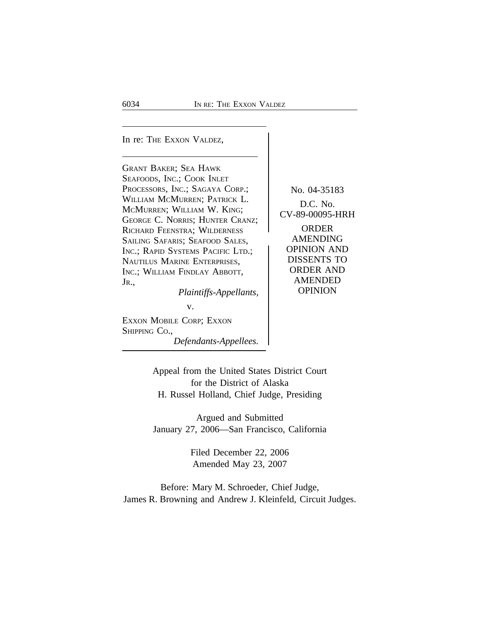In re: THE EXXON VALDEZ,

GRANT BAKER; SEA HAWK SEAFOODS, INC.; COOK INLET PROCESSORS, INC.; SAGAYA CORP.; No. 04-35183 WILLIAM MCMURREN; PATRICK L.<br>MCMURREN; WILLIAM W. KING; CV-89-00095-HRH GEORGE C. NORRIS; HUNTER CRANZ;<br>RICHARD FEENSTRA: WILDERNESS ORDER RICHARD FEENSTRA; WILDERNESS (ORDER SAILING SAFARIS: SEAFOOD SALES ) AMENDING SAILING SAFARIS; SEAFOOD SALES, AMENDING<br>INC.: RAPID SYSTEMS PACIFIC LTD.: 0PINION AND INC.; RAPID SYSTEMS PACIFIC LTD.; OPINION AND<br>NAUTH US MARINE ENTERPRISES DISSENTS TO NAUTILUS MARINE ENTERPRISES, DISSENTS TO<br>Inc : William Findlay Abbott | ORDER AND INC.; WILLIAM FINDLAY ABBOTT, JR., *Plaintiffs-Appellants* AMENDED<br>*Plaintiffs-Appellants* OPINION

*Plaintiffs-Appellants,* 

v.

EXXON MOBILE CORP; EXXON SHIPPING CO., *Defendants-Appellees.*

Appeal from the United States District Court for the District of Alaska H. Russel Holland, Chief Judge, Presiding

Argued and Submitted January 27, 2006—San Francisco, California

> Filed December 22, 2006 Amended May 23, 2007

Before: Mary M. Schroeder, Chief Judge, James R. Browning and Andrew J. Kleinfeld, Circuit Judges.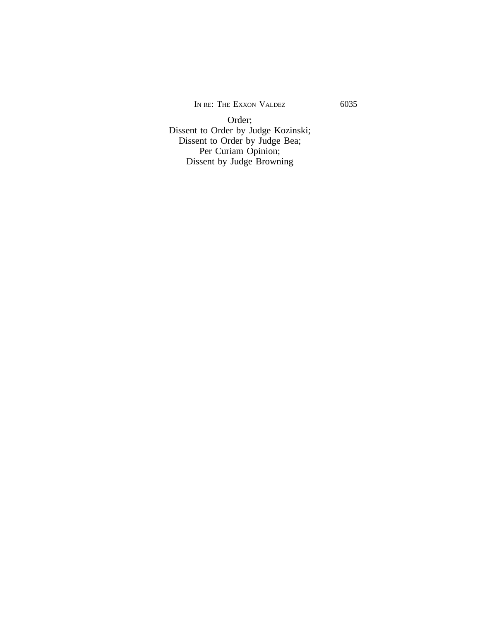Order; Dissent to Order by Judge Kozinski; Dissent to Order by Judge Bea; Per Curiam Opinion; Dissent by Judge Browning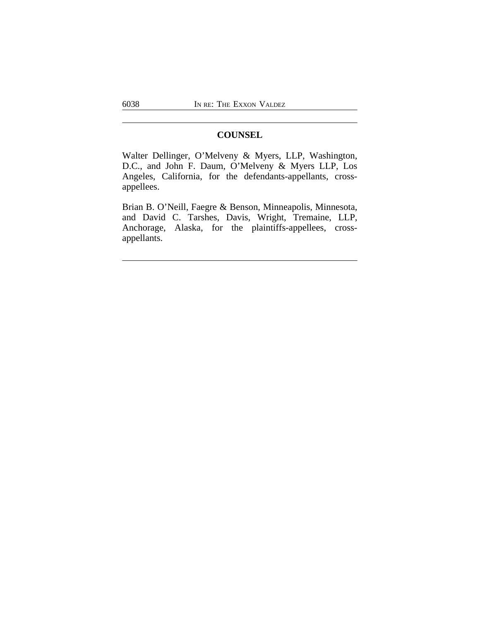# **COUNSEL**

Walter Dellinger, O'Melveny & Myers, LLP, Washington, D.C., and John F. Daum, O'Melveny & Myers LLP, Los Angeles, California, for the defendants-appellants, crossappellees.

Brian B. O'Neill, Faegre & Benson, Minneapolis, Minnesota, and David C. Tarshes, Davis, Wright, Tremaine, LLP, Anchorage, Alaska, for the plaintiffs-appellees, crossappellants.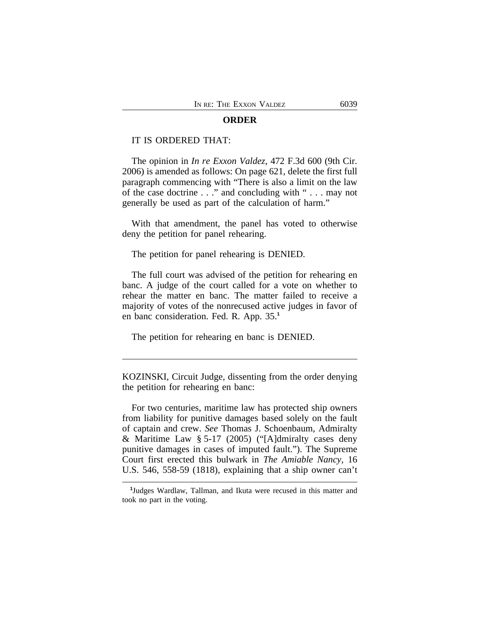#### **ORDER**

#### IT IS ORDERED THAT:

The opinion in *In re Exxon Valdez*, 472 F.3d 600 (9th Cir. 2006) is amended as follows: On page 621, delete the first full paragraph commencing with "There is also a limit on the law of the case doctrine . . ." and concluding with " . . . may not generally be used as part of the calculation of harm."

With that amendment, the panel has voted to otherwise deny the petition for panel rehearing.

The petition for panel rehearing is DENIED.

The full court was advised of the petition for rehearing en banc. A judge of the court called for a vote on whether to rehear the matter en banc. The matter failed to receive a majority of votes of the nonrecused active judges in favor of en banc consideration. Fed. R. App. 35.**<sup>1</sup>**

The petition for rehearing en banc is DENIED.

KOZINSKI, Circuit Judge, dissenting from the order denying the petition for rehearing en banc:

For two centuries, maritime law has protected ship owners from liability for punitive damages based solely on the fault of captain and crew. *See* Thomas J. Schoenbaum, Admiralty & Maritime Law § 5-17 (2005) ("[A]dmiralty cases deny punitive damages in cases of imputed fault."). The Supreme Court first erected this bulwark in *The Amiable Nancy*, 16 U.S. 546, 558-59 (1818), explaining that a ship owner can't

**<sup>1</sup>** Judges Wardlaw, Tallman, and Ikuta were recused in this matter and took no part in the voting.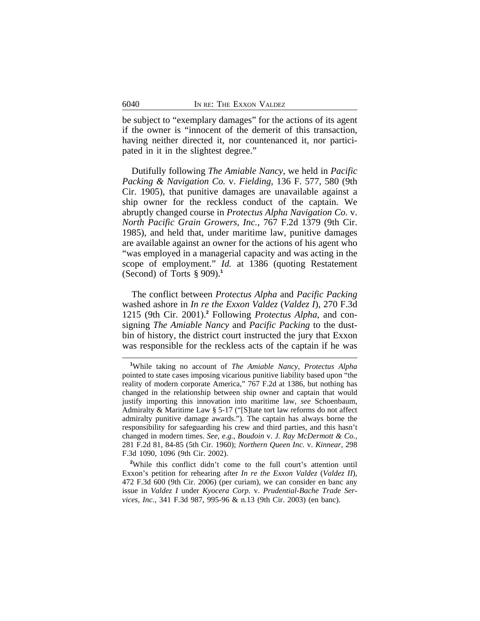be subject to "exemplary damages" for the actions of its agent if the owner is "innocent of the demerit of this transaction, having neither directed it, nor countenanced it, nor participated in it in the slightest degree."

Dutifully following *The Amiable Nancy*, we held in *Pacific Packing & Navigation Co.* v. *Fielding*, 136 F. 577, 580 (9th Cir. 1905), that punitive damages are unavailable against a ship owner for the reckless conduct of the captain. We abruptly changed course in *Protectus Alpha Navigation Co.* v. *North Pacific Grain Growers, Inc.*, 767 F.2d 1379 (9th Cir. 1985), and held that, under maritime law, punitive damages are available against an owner for the actions of his agent who "was employed in a managerial capacity and was acting in the scope of employment." *Id.* at 1386 (quoting Restatement (Second) of Torts § 909).**<sup>1</sup>**

The conflict between *Protectus Alpha* and *Pacific Packing* washed ashore in *In re the Exxon Valdez* (*Valdez I*), 270 F.3d 1215 (9th Cir. 2001).**<sup>2</sup>** Following *Protectus Alpha*, and consigning *The Amiable Nancy* and *Pacific Packing* to the dustbin of history, the district court instructed the jury that Exxon was responsible for the reckless acts of the captain if he was

<sup>2</sup>While this conflict didn't come to the full court's attention until Exxon's petition for rehearing after *In re the Exxon Valdez* (*Valdez II*), 472 F.3d 600 (9th Cir. 2006) (per curiam), we can consider en banc any issue in *Valdez I* under *Kyocera Corp.* v. *Prudential-Bache Trade Services, Inc.*, 341 F.3d 987, 995-96 & n.13 (9th Cir. 2003) (en banc).

**<sup>1</sup>**While taking no account of *The Amiable Nancy*, *Protectus Alpha* pointed to state cases imposing vicarious punitive liability based upon "the reality of modern corporate America," 767 F.2d at 1386, but nothing has changed in the relationship between ship owner and captain that would justify importing this innovation into maritime law, *see* Schoenbaum, Admiralty & Maritime Law § 5-17 ("[S]tate tort law reforms do not affect admiralty punitive damage awards."). The captain has always borne the responsibility for safeguarding his crew and third parties, and this hasn't changed in modern times. *See, e.g.*, *Boudoin* v. *J. Ray McDermott & Co.*, 281 F.2d 81, 84-85 (5th Cir. 1960); *Northern Queen Inc.* v. *Kinnear*, 298 F.3d 1090, 1096 (9th Cir. 2002).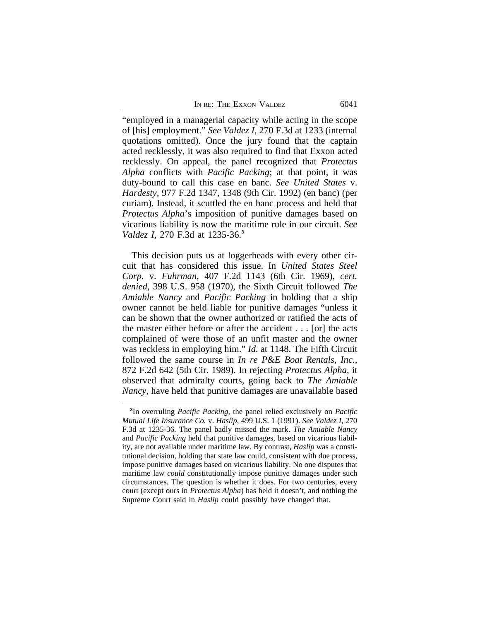"employed in a managerial capacity while acting in the scope of [his] employment." *See Valdez I*, 270 F.3d at 1233 (internal quotations omitted). Once the jury found that the captain acted recklessly, it was also required to find that Exxon acted recklessly. On appeal, the panel recognized that *Protectus Alpha* conflicts with *Pacific Packing*; at that point, it was duty-bound to call this case en banc. *See United States* v. *Hardesty*, 977 F.2d 1347, 1348 (9th Cir. 1992) (en banc) (per curiam). Instead, it scuttled the en banc process and held that *Protectus Alpha*'s imposition of punitive damages based on vicarious liability is now the maritime rule in our circuit. *See Valdez I*, 270 F.3d at 1235-36.**<sup>3</sup>**

This decision puts us at loggerheads with every other circuit that has considered this issue. In *United States Steel Corp.* v. *Fuhrman*, 407 F.2d 1143 (6th Cir. 1969), *cert. denied*, 398 U.S. 958 (1970), the Sixth Circuit followed *The Amiable Nancy* and *Pacific Packing* in holding that a ship owner cannot be held liable for punitive damages "unless it can be shown that the owner authorized or ratified the acts of the master either before or after the accident . . . [or] the acts complained of were those of an unfit master and the owner was reckless in employing him." *Id.* at 1148. The Fifth Circuit followed the same course in *In re P&E Boat Rentals, Inc.*, 872 F.2d 642 (5th Cir. 1989). In rejecting *Protectus Alpha*, it observed that admiralty courts, going back to *The Amiable Nancy*, have held that punitive damages are unavailable based

**<sup>3</sup>** In overruling *Pacific Packing*, the panel relied exclusively on *Pacific Mutual Life Insurance Co.* v. *Haslip*, 499 U.S. 1 (1991). *See Valdez I*, 270 F.3d at 1235-36. The panel badly missed the mark. *The Amiable Nancy* and *Pacific Packing* held that punitive damages, based on vicarious liability, are not available under maritime law. By contrast, *Haslip* was a constitutional decision, holding that state law could, consistent with due process, impose punitive damages based on vicarious liability. No one disputes that maritime law *could* constitutionally impose punitive damages under such circumstances. The question is whether it does. For two centuries, every court (except ours in *Protectus Alpha*) has held it doesn't, and nothing the Supreme Court said in *Haslip* could possibly have changed that.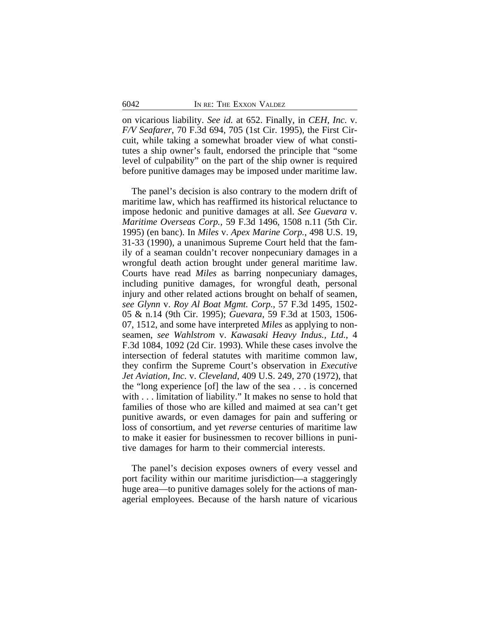on vicarious liability. *See id.* at 652. Finally, in *CEH, Inc.* v. *F/V Seafarer*, 70 F.3d 694, 705 (1st Cir. 1995), the First Circuit, while taking a somewhat broader view of what constitutes a ship owner's fault, endorsed the principle that "some level of culpability" on the part of the ship owner is required before punitive damages may be imposed under maritime law.

The panel's decision is also contrary to the modern drift of maritime law, which has reaffirmed its historical reluctance to impose hedonic and punitive damages at all. *See Guevara* v. *Maritime Overseas Corp.*, 59 F.3d 1496, 1508 n.11 (5th Cir. 1995) (en banc). In *Miles* v. *Apex Marine Corp.*, 498 U.S. 19, 31-33 (1990), a unanimous Supreme Court held that the family of a seaman couldn't recover nonpecuniary damages in a wrongful death action brought under general maritime law. Courts have read *Miles* as barring nonpecuniary damages, including punitive damages, for wrongful death, personal injury and other related actions brought on behalf of seamen, *see Glynn* v. *Roy Al Boat Mgmt. Corp.*, 57 F.3d 1495, 1502- 05 & n.14 (9th Cir. 1995); *Guevara*, 59 F.3d at 1503, 1506- 07, 1512, and some have interpreted *Miles* as applying to nonseamen, *see Wahlstrom* v. *Kawasaki Heavy Indus., Ltd.*, 4 F.3d 1084, 1092 (2d Cir. 1993). While these cases involve the intersection of federal statutes with maritime common law, they confirm the Supreme Court's observation in *Executive Jet Aviation, Inc.* v. *Cleveland*, 409 U.S. 249, 270 (1972), that the "long experience [of] the law of the sea . . . is concerned with . . . limitation of liability." It makes no sense to hold that families of those who are killed and maimed at sea can't get punitive awards, or even damages for pain and suffering or loss of consortium, and yet *reverse* centuries of maritime law to make it easier for businessmen to recover billions in punitive damages for harm to their commercial interests.

The panel's decision exposes owners of every vessel and port facility within our maritime jurisdiction—a staggeringly huge area—to punitive damages solely for the actions of managerial employees. Because of the harsh nature of vicarious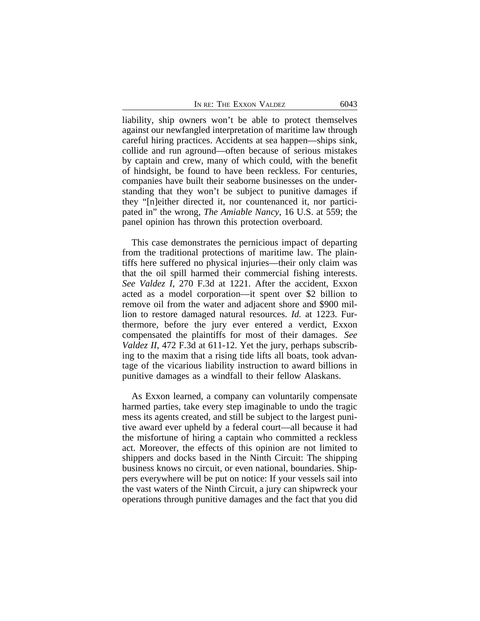liability, ship owners won't be able to protect themselves against our newfangled interpretation of maritime law through careful hiring practices. Accidents at sea happen—ships sink, collide and run aground—often because of serious mistakes by captain and crew, many of which could, with the benefit of hindsight, be found to have been reckless. For centuries, companies have built their seaborne businesses on the understanding that they won't be subject to punitive damages if they "[n]either directed it, nor countenanced it, nor participated in" the wrong, *The Amiable Nancy*, 16 U.S. at 559; the panel opinion has thrown this protection overboard.

This case demonstrates the pernicious impact of departing from the traditional protections of maritime law. The plaintiffs here suffered no physical injuries—their only claim was that the oil spill harmed their commercial fishing interests. *See Valdez I*, 270 F.3d at 1221. After the accident, Exxon acted as a model corporation—it spent over \$2 billion to remove oil from the water and adjacent shore and \$900 million to restore damaged natural resources. *Id.* at 1223. Furthermore, before the jury ever entered a verdict, Exxon compensated the plaintiffs for most of their damages. *See Valdez II*, 472 F.3d at 611-12. Yet the jury, perhaps subscribing to the maxim that a rising tide lifts all boats, took advantage of the vicarious liability instruction to award billions in punitive damages as a windfall to their fellow Alaskans.

As Exxon learned, a company can voluntarily compensate harmed parties, take every step imaginable to undo the tragic mess its agents created, and still be subject to the largest punitive award ever upheld by a federal court—all because it had the misfortune of hiring a captain who committed a reckless act. Moreover, the effects of this opinion are not limited to shippers and docks based in the Ninth Circuit: The shipping business knows no circuit, or even national, boundaries. Shippers everywhere will be put on notice: If your vessels sail into the vast waters of the Ninth Circuit, a jury can shipwreck your operations through punitive damages and the fact that you did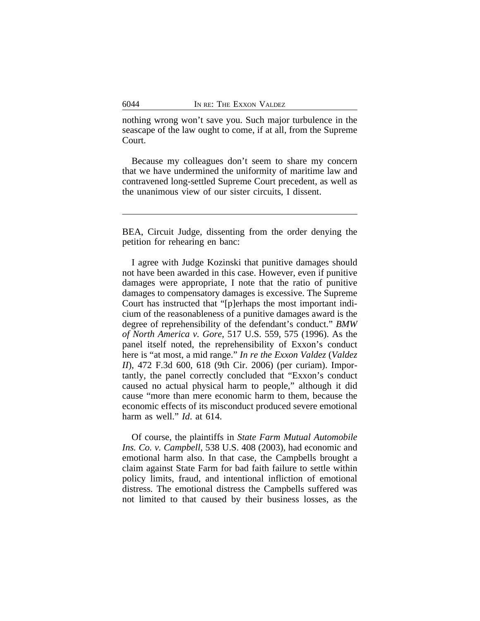nothing wrong won't save you. Such major turbulence in the seascape of the law ought to come, if at all, from the Supreme Court.

Because my colleagues don't seem to share my concern that we have undermined the uniformity of maritime law and contravened long-settled Supreme Court precedent, as well as the unanimous view of our sister circuits, I dissent.

BEA, Circuit Judge, dissenting from the order denying the petition for rehearing en banc:

I agree with Judge Kozinski that punitive damages should not have been awarded in this case. However, even if punitive damages were appropriate, I note that the ratio of punitive damages to compensatory damages is excessive. The Supreme Court has instructed that "[p]erhaps the most important indicium of the reasonableness of a punitive damages award is the degree of reprehensibility of the defendant's conduct." *BMW of North America v. Gore*, 517 U.S. 559, 575 (1996). As the panel itself noted, the reprehensibility of Exxon's conduct here is "at most, a mid range." *In re the Exxon Valdez* (*Valdez II*), 472 F.3d 600, 618 (9th Cir. 2006) (per curiam). Importantly, the panel correctly concluded that "Exxon's conduct caused no actual physical harm to people," although it did cause "more than mere economic harm to them, because the economic effects of its misconduct produced severe emotional harm as well." *Id*. at 614.

Of course, the plaintiffs in *State Farm Mutual Automobile Ins. Co. v. Campbell*, 538 U.S. 408 (2003), had economic and emotional harm also. In that case, the Campbells brought a claim against State Farm for bad faith failure to settle within policy limits, fraud, and intentional infliction of emotional distress. The emotional distress the Campbells suffered was not limited to that caused by their business losses, as the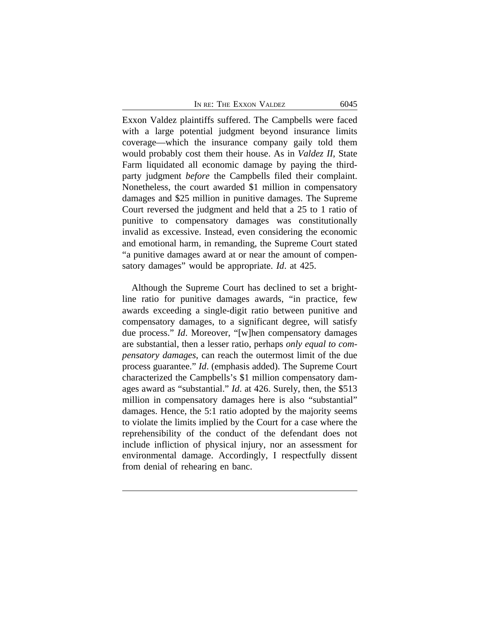Exxon Valdez plaintiffs suffered. The Campbells were faced with a large potential judgment beyond insurance limits coverage—which the insurance company gaily told them would probably cost them their house. As in *Valdez II*, State Farm liquidated all economic damage by paying the thirdparty judgment *before* the Campbells filed their complaint. Nonetheless, the court awarded \$1 million in compensatory damages and \$25 million in punitive damages. The Supreme Court reversed the judgment and held that a 25 to 1 ratio of punitive to compensatory damages was constitutionally invalid as excessive. Instead, even considering the economic and emotional harm, in remanding, the Supreme Court stated "a punitive damages award at or near the amount of compensatory damages" would be appropriate. *Id*. at 425.

Although the Supreme Court has declined to set a brightline ratio for punitive damages awards, "in practice, few awards exceeding a single-digit ratio between punitive and compensatory damages, to a significant degree, will satisfy due process." *Id*. Moreover, "[w]hen compensatory damages are substantial, then a lesser ratio, perhaps *only equal to compensatory damages*, can reach the outermost limit of the due process guarantee." *Id*. (emphasis added). The Supreme Court characterized the Campbells's \$1 million compensatory damages award as "substantial." *Id*. at 426. Surely, then, the \$513 million in compensatory damages here is also "substantial" damages. Hence, the 5:1 ratio adopted by the majority seems to violate the limits implied by the Court for a case where the reprehensibility of the conduct of the defendant does not include infliction of physical injury, nor an assessment for environmental damage. Accordingly, I respectfully dissent from denial of rehearing en banc.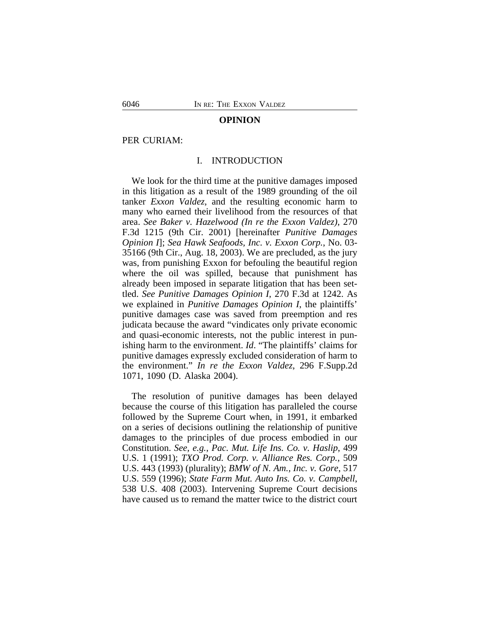#### **OPINION**

#### PER CURIAM:

#### I. INTRODUCTION

We look for the third time at the punitive damages imposed in this litigation as a result of the 1989 grounding of the oil tanker *Exxon Valdez*, and the resulting economic harm to many who earned their livelihood from the resources of that area. *See Baker v. Hazelwood (In re the Exxon Valdez)*, 270 F.3d 1215 (9th Cir. 2001) [hereinafter *Punitive Damages Opinion I*]; *Sea Hawk Seafoods, Inc. v. Exxon Corp.*, No. 03- 35166 (9th Cir., Aug. 18, 2003). We are precluded, as the jury was, from punishing Exxon for befouling the beautiful region where the oil was spilled, because that punishment has already been imposed in separate litigation that has been settled. *See Punitive Damages Opinion I*, 270 F.3d at 1242. As we explained in *Punitive Damages Opinion I*, the plaintiffs' punitive damages case was saved from preemption and res judicata because the award "vindicates only private economic and quasi-economic interests, not the public interest in punishing harm to the environment. *Id*. "The plaintiffs' claims for punitive damages expressly excluded consideration of harm to the environment." *In re the Exxon Valdez*, 296 F.Supp.2d 1071, 1090 (D. Alaska 2004).

The resolution of punitive damages has been delayed because the course of this litigation has paralleled the course followed by the Supreme Court when, in 1991, it embarked on a series of decisions outlining the relationship of punitive damages to the principles of due process embodied in our Constitution. *See, e.g.*, *Pac. Mut. Life Ins. Co. v. Haslip*, 499 U.S. 1 (1991); *TXO Prod. Corp. v. Alliance Res. Corp.*, 509 U.S. 443 (1993) (plurality); *BMW of N. Am., Inc. v. Gore*, 517 U.S. 559 (1996); *State Farm Mut. Auto Ins. Co. v. Campbell*, 538 U.S. 408 (2003). Intervening Supreme Court decisions have caused us to remand the matter twice to the district court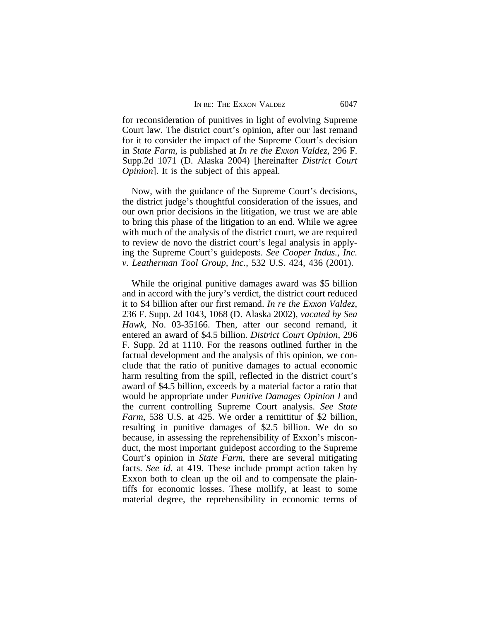for reconsideration of punitives in light of evolving Supreme Court law. The district court's opinion, after our last remand for it to consider the impact of the Supreme Court's decision in *State Farm*, is published at *In re the Exxon Valdez*, 296 F. Supp.2d 1071 (D. Alaska 2004) [hereinafter *District Court Opinion*]. It is the subject of this appeal.

Now, with the guidance of the Supreme Court's decisions, the district judge's thoughtful consideration of the issues, and our own prior decisions in the litigation, we trust we are able to bring this phase of the litigation to an end. While we agree with much of the analysis of the district court, we are required to review de novo the district court's legal analysis in applying the Supreme Court's guideposts. *See Cooper Indus., Inc. v. Leatherman Tool Group, Inc.*, 532 U.S. 424, 436 (2001).

While the original punitive damages award was \$5 billion and in accord with the jury's verdict, the district court reduced it to \$4 billion after our first remand. *In re the Exxon Valdez*, 236 F. Supp. 2d 1043, 1068 (D. Alaska 2002), *vacated by Sea Hawk*, No. 03-35166. Then, after our second remand, it entered an award of \$4.5 billion. *District Court Opinion*, 296 F. Supp. 2d at 1110. For the reasons outlined further in the factual development and the analysis of this opinion, we conclude that the ratio of punitive damages to actual economic harm resulting from the spill, reflected in the district court's award of \$4.5 billion, exceeds by a material factor a ratio that would be appropriate under *Punitive Damages Opinion I* and the current controlling Supreme Court analysis. *See State Farm*, 538 U.S. at 425. We order a remittitur of \$2 billion, resulting in punitive damages of \$2.5 billion. We do so because, in assessing the reprehensibility of Exxon's misconduct, the most important guidepost according to the Supreme Court's opinion in *State Farm*, there are several mitigating facts. *See id.* at 419. These include prompt action taken by Exxon both to clean up the oil and to compensate the plaintiffs for economic losses. These mollify, at least to some material degree, the reprehensibility in economic terms of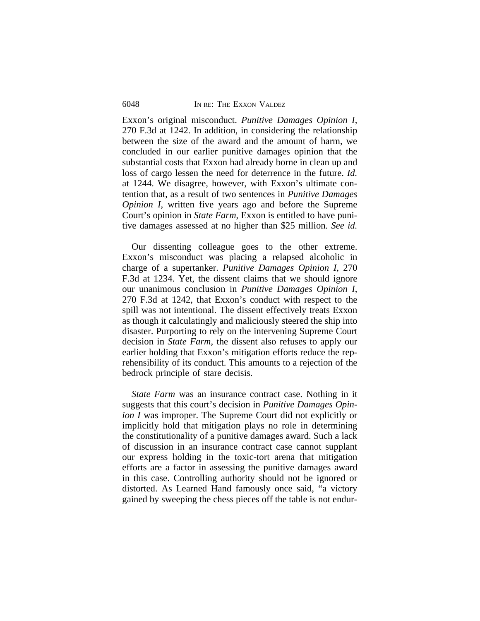Exxon's original misconduct. *Punitive Damages Opinion I*, 270 F.3d at 1242. In addition, in considering the relationship between the size of the award and the amount of harm, we concluded in our earlier punitive damages opinion that the substantial costs that Exxon had already borne in clean up and loss of cargo lessen the need for deterrence in the future. *Id.* at 1244. We disagree, however, with Exxon's ultimate contention that, as a result of two sentences in *Punitive Damages Opinion I*, written five years ago and before the Supreme Court's opinion in *State Farm*, Exxon is entitled to have punitive damages assessed at no higher than \$25 million. *See id.*

Our dissenting colleague goes to the other extreme. Exxon's misconduct was placing a relapsed alcoholic in charge of a supertanker. *Punitive Damages Opinion I*, 270 F.3d at 1234. Yet, the dissent claims that we should ignore our unanimous conclusion in *Punitive Damages Opinion I*, 270 F.3d at 1242, that Exxon's conduct with respect to the spill was not intentional. The dissent effectively treats Exxon as though it calculatingly and maliciously steered the ship into disaster. Purporting to rely on the intervening Supreme Court decision in *State Farm*, the dissent also refuses to apply our earlier holding that Exxon's mitigation efforts reduce the reprehensibility of its conduct. This amounts to a rejection of the bedrock principle of stare decisis.

*State Farm* was an insurance contract case. Nothing in it suggests that this court's decision in *Punitive Damages Opinion I* was improper. The Supreme Court did not explicitly or implicitly hold that mitigation plays no role in determining the constitutionality of a punitive damages award. Such a lack of discussion in an insurance contract case cannot supplant our express holding in the toxic-tort arena that mitigation efforts are a factor in assessing the punitive damages award in this case. Controlling authority should not be ignored or distorted. As Learned Hand famously once said, "a victory gained by sweeping the chess pieces off the table is not endur-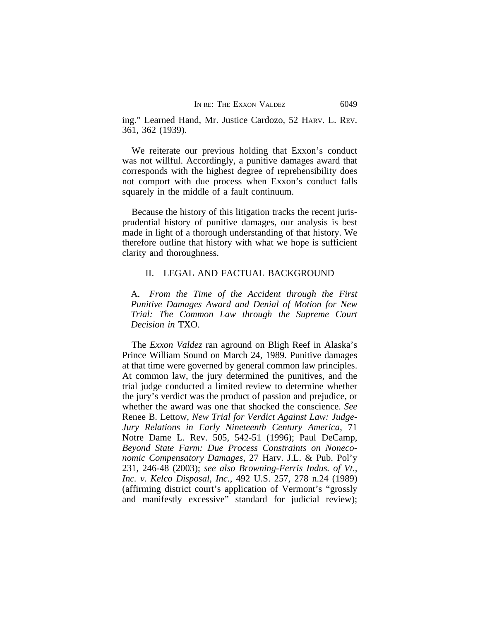ing." Learned Hand, Mr. Justice Cardozo, 52 HARV. L. REV. 361, 362 (1939).

We reiterate our previous holding that Exxon's conduct was not willful. Accordingly, a punitive damages award that corresponds with the highest degree of reprehensibility does not comport with due process when Exxon's conduct falls squarely in the middle of a fault continuum.

Because the history of this litigation tracks the recent jurisprudential history of punitive damages, our analysis is best made in light of a thorough understanding of that history. We therefore outline that history with what we hope is sufficient clarity and thoroughness.

#### II. LEGAL AND FACTUAL BACKGROUND

A. *From the Time of the Accident through the First Punitive Damages Award and Denial of Motion for New Trial: The Common Law through the Supreme Court Decision in* TXO.

The *Exxon Valdez* ran aground on Bligh Reef in Alaska's Prince William Sound on March 24, 1989. Punitive damages at that time were governed by general common law principles. At common law, the jury determined the punitives, and the trial judge conducted a limited review to determine whether the jury's verdict was the product of passion and prejudice, or whether the award was one that shocked the conscience. *See* Renee B. Lettow, *New Trial for Verdict Against Law: Judge-Jury Relations in Early Nineteenth Century America*, 71 Notre Dame L. Rev. 505, 542-51 (1996); Paul DeCamp, *Beyond State Farm: Due Process Constraints on Noneconomic Compensatory Damages*, 27 Harv. J.L. & Pub. Pol'y 231, 246-48 (2003); *see also Browning-Ferris Indus. of Vt., Inc. v. Kelco Disposal, Inc.*, 492 U.S. 257, 278 n.24 (1989) (affirming district court's application of Vermont's "grossly and manifestly excessive" standard for judicial review);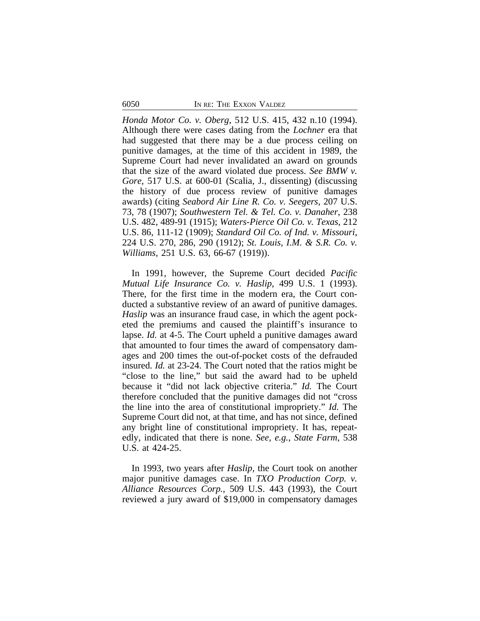*Honda Motor Co. v. Oberg*, 512 U.S. 415, 432 n.10 (1994). Although there were cases dating from the *Lochner* era that had suggested that there may be a due process ceiling on punitive damages, at the time of this accident in 1989, the Supreme Court had never invalidated an award on grounds that the size of the award violated due process. *See BMW v. Gore*, 517 U.S. at 600-01 (Scalia, J., dissenting) (discussing the history of due process review of punitive damages awards) (citing *Seabord Air Line R. Co. v. Seegers*, 207 U.S. 73, 78 (1907); *Southwestern Tel. & Tel. Co. v. Danaher*, 238 U.S. 482, 489-91 (1915); *Waters-Pierce Oil Co. v. Texas*, 212 U.S. 86, 111-12 (1909); *Standard Oil Co. of Ind. v. Missouri*, 224 U.S. 270, 286, 290 (1912); *St. Louis, I.M. & S.R. Co. v. Williams*, 251 U.S. 63, 66-67 (1919)).

In 1991, however, the Supreme Court decided *Pacific Mutual Life Insurance Co. v. Haslip*, 499 U.S. 1 (1993). There, for the first time in the modern era, the Court conducted a substantive review of an award of punitive damages. *Haslip* was an insurance fraud case, in which the agent pocketed the premiums and caused the plaintiff's insurance to lapse. *Id.* at 4-5. The Court upheld a punitive damages award that amounted to four times the award of compensatory damages and 200 times the out-of-pocket costs of the defrauded insured. *Id.* at 23-24. The Court noted that the ratios might be "close to the line," but said the award had to be upheld because it "did not lack objective criteria." *Id.* The Court therefore concluded that the punitive damages did not "cross the line into the area of constitutional impropriety." *Id.* The Supreme Court did not, at that time, and has not since, defined any bright line of constitutional impropriety. It has, repeatedly, indicated that there is none. *See, e.g.*, *State Farm*, 538 U.S. at 424-25.

In 1993, two years after *Haslip*, the Court took on another major punitive damages case. In *TXO Production Corp. v. Alliance Resources Corp.*, 509 U.S. 443 (1993), the Court reviewed a jury award of \$19,000 in compensatory damages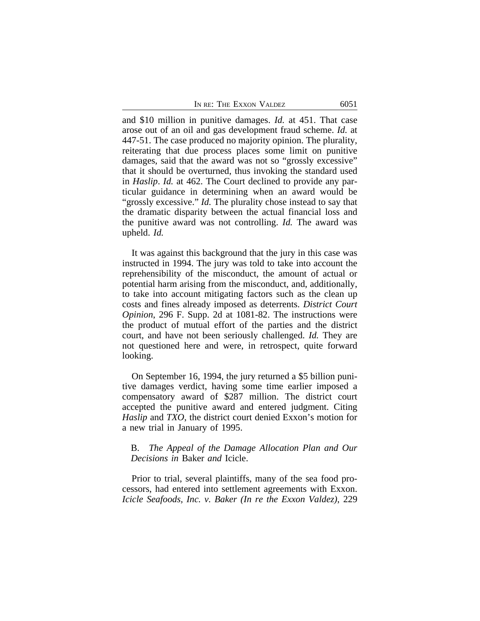and \$10 million in punitive damages. *Id.* at 451. That case arose out of an oil and gas development fraud scheme. *Id.* at 447-51. The case produced no majority opinion. The plurality, reiterating that due process places some limit on punitive damages, said that the award was not so "grossly excessive" that it should be overturned, thus invoking the standard used in *Haslip*. *Id.* at 462. The Court declined to provide any particular guidance in determining when an award would be "grossly excessive." *Id.* The plurality chose instead to say that the dramatic disparity between the actual financial loss and the punitive award was not controlling. *Id.* The award was upheld. *Id.*

It was against this background that the jury in this case was instructed in 1994. The jury was told to take into account the reprehensibility of the misconduct, the amount of actual or potential harm arising from the misconduct, and, additionally, to take into account mitigating factors such as the clean up costs and fines already imposed as deterrents. *District Court Opinion*, 296 F. Supp. 2d at 1081-82. The instructions were the product of mutual effort of the parties and the district court, and have not been seriously challenged. *Id.* They are not questioned here and were, in retrospect, quite forward looking.

On September 16, 1994, the jury returned a \$5 billion punitive damages verdict, having some time earlier imposed a compensatory award of \$287 million. The district court accepted the punitive award and entered judgment. Citing *Haslip* and *TXO*, the district court denied Exxon's motion for a new trial in January of 1995.

# B. *The Appeal of the Damage Allocation Plan and Our Decisions in* Baker *and* Icicle.

Prior to trial, several plaintiffs, many of the sea food processors, had entered into settlement agreements with Exxon. *Icicle Seafoods, Inc. v. Baker (In re the Exxon Valdez)*, 229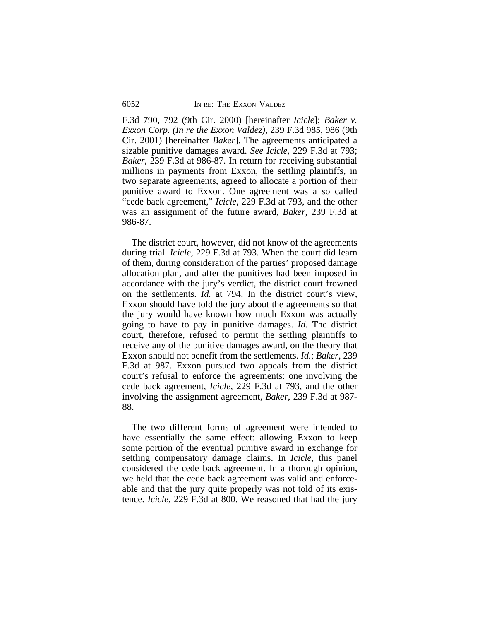F.3d 790, 792 (9th Cir. 2000) [hereinafter *Icicle*]; *Baker v. Exxon Corp. (In re the Exxon Valdez)*, 239 F.3d 985, 986 (9th Cir. 2001) [hereinafter *Baker*]. The agreements anticipated a sizable punitive damages award. *See Icicle*, 229 F.3d at 793; *Baker*, 239 F.3d at 986-87. In return for receiving substantial millions in payments from Exxon, the settling plaintiffs, in two separate agreements, agreed to allocate a portion of their punitive award to Exxon. One agreement was a so called "cede back agreement," *Icicle*, 229 F.3d at 793, and the other was an assignment of the future award, *Baker*, 239 F.3d at 986-87.

The district court, however, did not know of the agreements during trial. *Icicle*, 229 F.3d at 793. When the court did learn of them, during consideration of the parties' proposed damage allocation plan, and after the punitives had been imposed in accordance with the jury's verdict, the district court frowned on the settlements. *Id.* at 794. In the district court's view, Exxon should have told the jury about the agreements so that the jury would have known how much Exxon was actually going to have to pay in punitive damages. *Id.* The district court, therefore, refused to permit the settling plaintiffs to receive any of the punitive damages award, on the theory that Exxon should not benefit from the settlements. *Id.*; *Baker*, 239 F.3d at 987. Exxon pursued two appeals from the district court's refusal to enforce the agreements: one involving the cede back agreement, *Icicle*, 229 F.3d at 793, and the other involving the assignment agreement, *Baker*, 239 F.3d at 987- 88.

The two different forms of agreement were intended to have essentially the same effect: allowing Exxon to keep some portion of the eventual punitive award in exchange for settling compensatory damage claims. In *Icicle*, this panel considered the cede back agreement. In a thorough opinion, we held that the cede back agreement was valid and enforceable and that the jury quite properly was not told of its existence. *Icicle*, 229 F.3d at 800. We reasoned that had the jury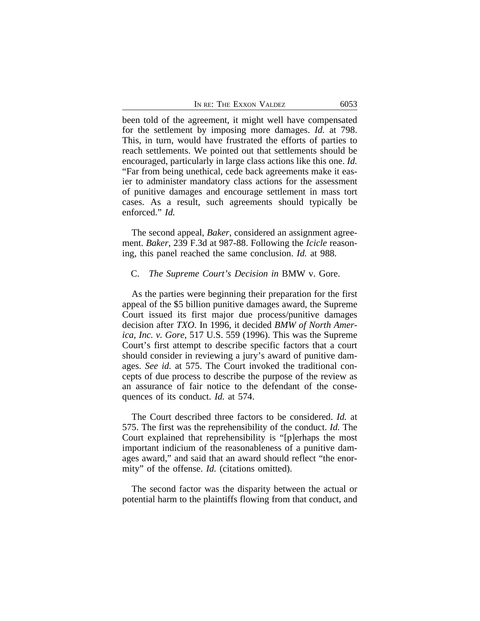been told of the agreement, it might well have compensated for the settlement by imposing more damages. *Id.* at 798. This, in turn, would have frustrated the efforts of parties to reach settlements. We pointed out that settlements should be encouraged, particularly in large class actions like this one. *Id.* "Far from being unethical, cede back agreements make it easier to administer mandatory class actions for the assessment of punitive damages and encourage settlement in mass tort cases. As a result, such agreements should typically be enforced." *Id.*

The second appeal, *Baker*, considered an assignment agreement. *Baker*, 239 F.3d at 987-88. Following the *Icicle* reasoning, this panel reached the same conclusion. *Id.* at 988.

#### C. *The Supreme Court's Decision in* BMW v. Gore.

As the parties were beginning their preparation for the first appeal of the \$5 billion punitive damages award, the Supreme Court issued its first major due process/punitive damages decision after *TXO*. In 1996, it decided *BMW of North America, Inc. v. Gore*, 517 U.S. 559 (1996). This was the Supreme Court's first attempt to describe specific factors that a court should consider in reviewing a jury's award of punitive damages. *See id.* at 575. The Court invoked the traditional concepts of due process to describe the purpose of the review as an assurance of fair notice to the defendant of the consequences of its conduct. *Id.* at 574.

The Court described three factors to be considered. *Id.* at 575. The first was the reprehensibility of the conduct. *Id.* The Court explained that reprehensibility is "[p]erhaps the most important indicium of the reasonableness of a punitive damages award," and said that an award should reflect "the enormity" of the offense. *Id.* (citations omitted).

The second factor was the disparity between the actual or potential harm to the plaintiffs flowing from that conduct, and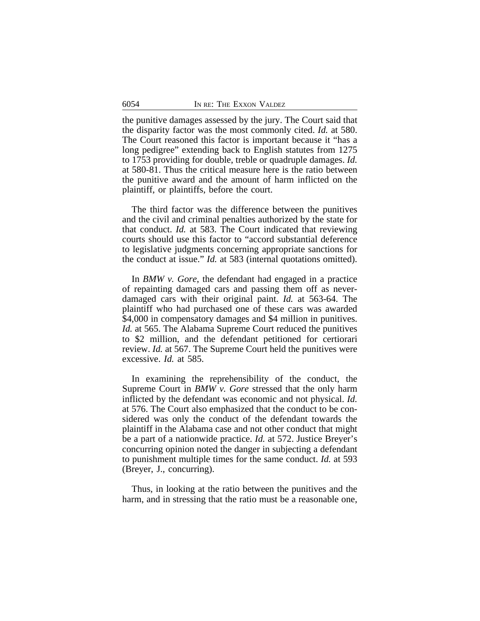the punitive damages assessed by the jury. The Court said that the disparity factor was the most commonly cited. *Id.* at 580. The Court reasoned this factor is important because it "has a long pedigree" extending back to English statutes from 1275 to 1753 providing for double, treble or quadruple damages. *Id.* at 580-81. Thus the critical measure here is the ratio between the punitive award and the amount of harm inflicted on the plaintiff, or plaintiffs, before the court.

The third factor was the difference between the punitives and the civil and criminal penalties authorized by the state for that conduct. *Id.* at 583. The Court indicated that reviewing courts should use this factor to "accord substantial deference to legislative judgments concerning appropriate sanctions for the conduct at issue." *Id.* at 583 (internal quotations omitted).

In *BMW v. Gore*, the defendant had engaged in a practice of repainting damaged cars and passing them off as neverdamaged cars with their original paint. *Id.* at 563-64. The plaintiff who had purchased one of these cars was awarded \$4,000 in compensatory damages and \$4 million in punitives. *Id.* at 565. The Alabama Supreme Court reduced the punitives to \$2 million, and the defendant petitioned for certiorari review. *Id.* at 567. The Supreme Court held the punitives were excessive. *Id.* at 585.

In examining the reprehensibility of the conduct, the Supreme Court in *BMW v. Gore* stressed that the only harm inflicted by the defendant was economic and not physical. *Id.* at 576. The Court also emphasized that the conduct to be considered was only the conduct of the defendant towards the plaintiff in the Alabama case and not other conduct that might be a part of a nationwide practice. *Id.* at 572. Justice Breyer's concurring opinion noted the danger in subjecting a defendant to punishment multiple times for the same conduct. *Id.* at 593 (Breyer, J., concurring).

Thus, in looking at the ratio between the punitives and the harm, and in stressing that the ratio must be a reasonable one,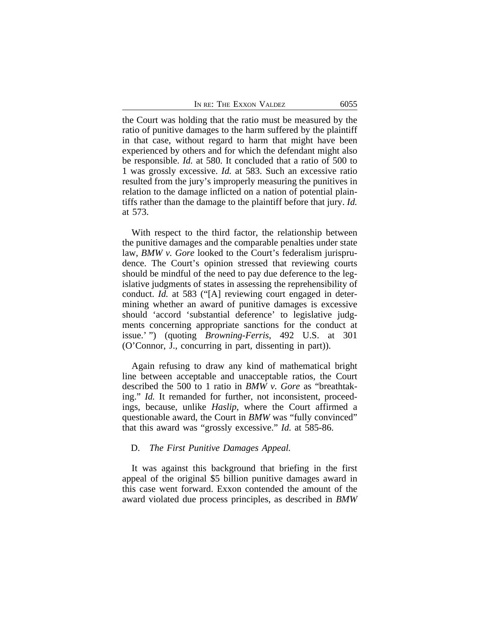the Court was holding that the ratio must be measured by the ratio of punitive damages to the harm suffered by the plaintiff in that case, without regard to harm that might have been experienced by others and for which the defendant might also be responsible. *Id.* at 580. It concluded that a ratio of 500 to 1 was grossly excessive. *Id.* at 583. Such an excessive ratio resulted from the jury's improperly measuring the punitives in relation to the damage inflicted on a nation of potential plaintiffs rather than the damage to the plaintiff before that jury. *Id.* at 573.

With respect to the third factor, the relationship between the punitive damages and the comparable penalties under state law, *BMW v. Gore* looked to the Court's federalism jurisprudence. The Court's opinion stressed that reviewing courts should be mindful of the need to pay due deference to the legislative judgments of states in assessing the reprehensibility of conduct. *Id.* at 583 ("[A] reviewing court engaged in determining whether an award of punitive damages is excessive should 'accord 'substantial deference' to legislative judgments concerning appropriate sanctions for the conduct at issue.' ") (quoting *Browning-Ferris*, 492 U.S. at 301 (O'Connor, J., concurring in part, dissenting in part)).

Again refusing to draw any kind of mathematical bright line between acceptable and unacceptable ratios, the Court described the 500 to 1 ratio in *BMW v. Gore* as "breathtaking." *Id.* It remanded for further, not inconsistent, proceedings, because, unlike *Haslip*, where the Court affirmed a questionable award, the Court in *BMW* was "fully convinced" that this award was "grossly excessive." *Id.* at 585-86.

# D. *The First Punitive Damages Appeal.*

It was against this background that briefing in the first appeal of the original \$5 billion punitive damages award in this case went forward. Exxon contended the amount of the award violated due process principles, as described in *BMW*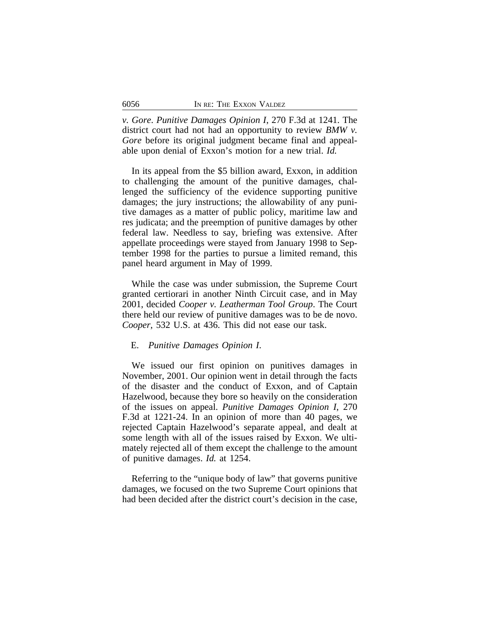*v. Gore*. *Punitive Damages Opinion I*, 270 F.3d at 1241. The district court had not had an opportunity to review *BMW v. Gore* before its original judgment became final and appealable upon denial of Exxon's motion for a new trial. *Id.*

In its appeal from the \$5 billion award, Exxon, in addition to challenging the amount of the punitive damages, challenged the sufficiency of the evidence supporting punitive damages; the jury instructions; the allowability of any punitive damages as a matter of public policy, maritime law and res judicata; and the preemption of punitive damages by other federal law. Needless to say, briefing was extensive. After appellate proceedings were stayed from January 1998 to September 1998 for the parties to pursue a limited remand, this panel heard argument in May of 1999.

While the case was under submission, the Supreme Court granted certiorari in another Ninth Circuit case, and in May 2001, decided *Cooper v. Leatherman Tool Group*. The Court there held our review of punitive damages was to be de novo. *Cooper*, 532 U.S. at 436. This did not ease our task.

#### E. *Punitive Damages Opinion I*.

We issued our first opinion on punitives damages in November, 2001. Our opinion went in detail through the facts of the disaster and the conduct of Exxon, and of Captain Hazelwood, because they bore so heavily on the consideration of the issues on appeal. *Punitive Damages Opinion I*, 270 F.3d at 1221-24. In an opinion of more than 40 pages, we rejected Captain Hazelwood's separate appeal, and dealt at some length with all of the issues raised by Exxon. We ultimately rejected all of them except the challenge to the amount of punitive damages. *Id.* at 1254.

Referring to the "unique body of law" that governs punitive damages, we focused on the two Supreme Court opinions that had been decided after the district court's decision in the case,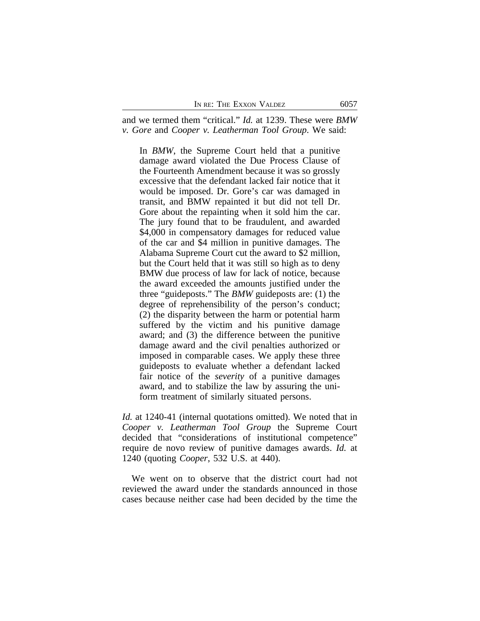and we termed them "critical." *Id.* at 1239. These were *BMW v. Gore* and *Cooper v. Leatherman Tool Group*. We said:

In *BMW*, the Supreme Court held that a punitive damage award violated the Due Process Clause of the Fourteenth Amendment because it was so grossly excessive that the defendant lacked fair notice that it would be imposed. Dr. Gore's car was damaged in transit, and BMW repainted it but did not tell Dr. Gore about the repainting when it sold him the car. The jury found that to be fraudulent, and awarded \$4,000 in compensatory damages for reduced value of the car and \$4 million in punitive damages. The Alabama Supreme Court cut the award to \$2 million, but the Court held that it was still so high as to deny BMW due process of law for lack of notice, because the award exceeded the amounts justified under the three "guideposts." The *BMW* guideposts are: (1) the degree of reprehensibility of the person's conduct; (2) the disparity between the harm or potential harm suffered by the victim and his punitive damage award; and (3) the difference between the punitive damage award and the civil penalties authorized or imposed in comparable cases. We apply these three guideposts to evaluate whether a defendant lacked fair notice of the *severity* of a punitive damages award, and to stabilize the law by assuring the uniform treatment of similarly situated persons.

*Id.* at 1240-41 (internal quotations omitted). We noted that in *Cooper v. Leatherman Tool Group* the Supreme Court decided that "considerations of institutional competence" require de novo review of punitive damages awards. *Id.* at 1240 (quoting *Cooper*, 532 U.S. at 440).

We went on to observe that the district court had not reviewed the award under the standards announced in those cases because neither case had been decided by the time the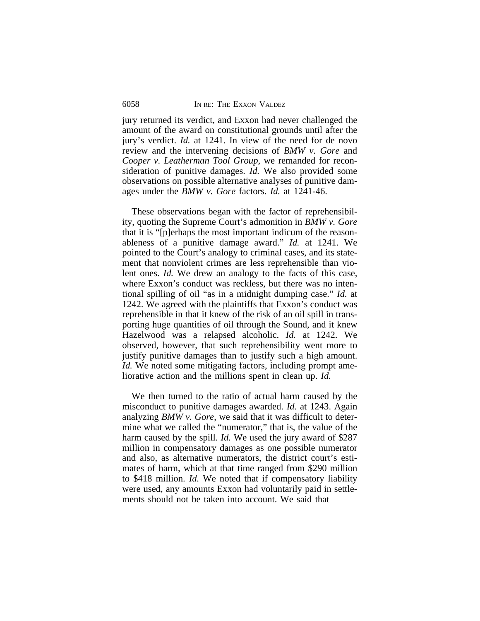jury returned its verdict, and Exxon had never challenged the amount of the award on constitutional grounds until after the jury's verdict. *Id.* at 1241. In view of the need for de novo review and the intervening decisions of *BMW v. Gore* and *Cooper v. Leatherman Tool Group*, we remanded for reconsideration of punitive damages. *Id.* We also provided some observations on possible alternative analyses of punitive damages under the *BMW v. Gore* factors. *Id.* at 1241-46.

These observations began with the factor of reprehensibility, quoting the Supreme Court's admonition in *BMW v. Gore* that it is "[p]erhaps the most important indicum of the reasonableness of a punitive damage award." *Id.* at 1241. We pointed to the Court's analogy to criminal cases, and its statement that nonviolent crimes are less reprehensible than violent ones. *Id.* We drew an analogy to the facts of this case, where Exxon's conduct was reckless, but there was no intentional spilling of oil "as in a midnight dumping case." *Id.* at 1242. We agreed with the plaintiffs that Exxon's conduct was reprehensible in that it knew of the risk of an oil spill in transporting huge quantities of oil through the Sound, and it knew Hazelwood was a relapsed alcoholic. *Id.* at 1242. We observed, however, that such reprehensibility went more to justify punitive damages than to justify such a high amount. *Id.* We noted some mitigating factors, including prompt ameliorative action and the millions spent in clean up. *Id.*

We then turned to the ratio of actual harm caused by the misconduct to punitive damages awarded. *Id.* at 1243. Again analyzing *BMW v. Gore*, we said that it was difficult to determine what we called the "numerator," that is, the value of the harm caused by the spill. *Id.* We used the jury award of \$287 million in compensatory damages as one possible numerator and also, as alternative numerators, the district court's estimates of harm, which at that time ranged from \$290 million to \$418 million. *Id.* We noted that if compensatory liability were used, any amounts Exxon had voluntarily paid in settlements should not be taken into account. We said that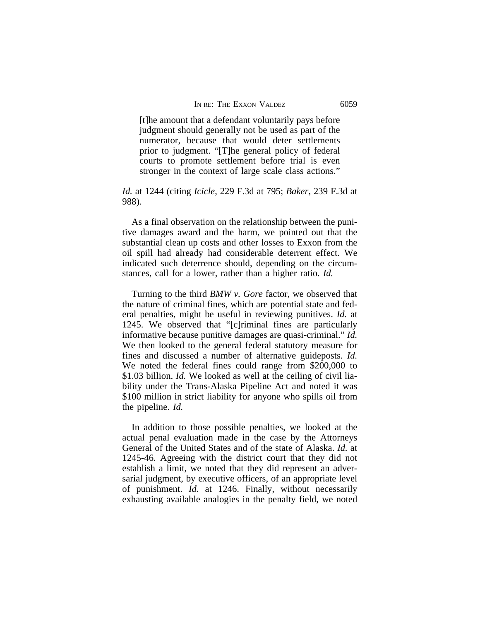[t]he amount that a defendant voluntarily pays before judgment should generally not be used as part of the numerator, because that would deter settlements prior to judgment. "[T]he general policy of federal courts to promote settlement before trial is even stronger in the context of large scale class actions."

# *Id.* at 1244 (citing *Icicle*, 229 F.3d at 795; *Baker*, 239 F.3d at 988).

As a final observation on the relationship between the punitive damages award and the harm, we pointed out that the substantial clean up costs and other losses to Exxon from the oil spill had already had considerable deterrent effect. We indicated such deterrence should, depending on the circumstances, call for a lower, rather than a higher ratio. *Id.*

Turning to the third *BMW v. Gore* factor, we observed that the nature of criminal fines, which are potential state and federal penalties, might be useful in reviewing punitives. *Id.* at 1245. We observed that "[c]riminal fines are particularly informative because punitive damages are quasi-criminal." *Id.* We then looked to the general federal statutory measure for fines and discussed a number of alternative guideposts. *Id.* We noted the federal fines could range from \$200,000 to \$1.03 billion. *Id.* We looked as well at the ceiling of civil liability under the Trans-Alaska Pipeline Act and noted it was \$100 million in strict liability for anyone who spills oil from the pipeline. *Id.*

In addition to those possible penalties, we looked at the actual penal evaluation made in the case by the Attorneys General of the United States and of the state of Alaska. *Id.* at 1245-46. Agreeing with the district court that they did not establish a limit, we noted that they did represent an adversarial judgment, by executive officers, of an appropriate level of punishment. *Id.* at 1246. Finally, without necessarily exhausting available analogies in the penalty field, we noted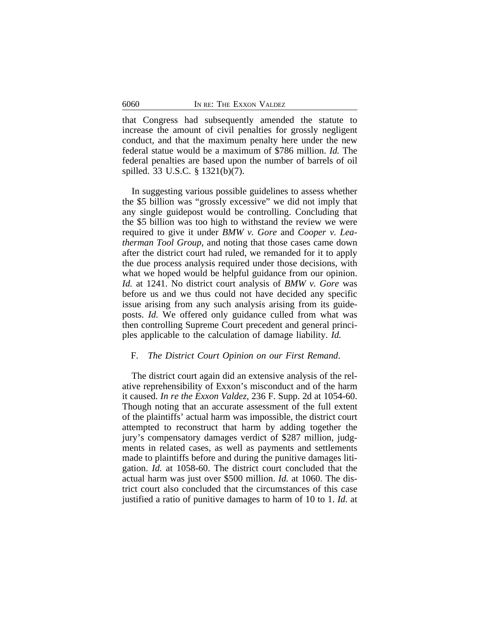that Congress had subsequently amended the statute to increase the amount of civil penalties for grossly negligent conduct, and that the maximum penalty here under the new federal statue would be a maximum of \$786 million. *Id.* The federal penalties are based upon the number of barrels of oil spilled. 33 U.S.C. § 1321(b)(7).

In suggesting various possible guidelines to assess whether the \$5 billion was "grossly excessive" we did not imply that any single guidepost would be controlling. Concluding that the \$5 billion was too high to withstand the review we were required to give it under *BMW v. Gore* and *Cooper v. Leatherman Tool Group*, and noting that those cases came down after the district court had ruled, we remanded for it to apply the due process analysis required under those decisions, with what we hoped would be helpful guidance from our opinion. *Id.* at 1241. No district court analysis of *BMW v. Gore* was before us and we thus could not have decided any specific issue arising from any such analysis arising from its guideposts. *Id.* We offered only guidance culled from what was then controlling Supreme Court precedent and general principles applicable to the calculation of damage liability. *Id.*

# F. *The District Court Opinion on our First Remand*.

The district court again did an extensive analysis of the relative reprehensibility of Exxon's misconduct and of the harm it caused. *In re the Exxon Valdez*, 236 F. Supp. 2d at 1054-60. Though noting that an accurate assessment of the full extent of the plaintiffs' actual harm was impossible, the district court attempted to reconstruct that harm by adding together the jury's compensatory damages verdict of \$287 million, judgments in related cases, as well as payments and settlements made to plaintiffs before and during the punitive damages litigation. *Id.* at 1058-60. The district court concluded that the actual harm was just over \$500 million. *Id.* at 1060. The district court also concluded that the circumstances of this case justified a ratio of punitive damages to harm of 10 to 1. *Id.* at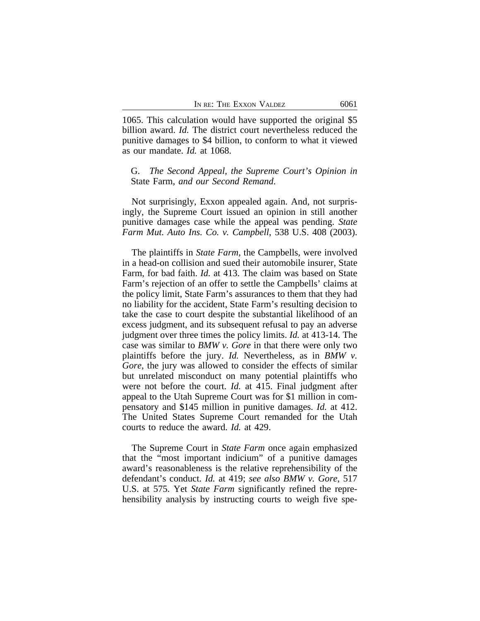1065. This calculation would have supported the original \$5 billion award. *Id.* The district court nevertheless reduced the punitive damages to \$4 billion, to conform to what it viewed as our mandate. *Id.* at 1068.

# G. *The Second Appeal, the Supreme Court's Opinion in* State Farm*, and our Second Remand*.

Not surprisingly, Exxon appealed again. And, not surprisingly, the Supreme Court issued an opinion in still another punitive damages case while the appeal was pending. *State Farm Mut. Auto Ins. Co. v. Campbell*, 538 U.S. 408 (2003).

The plaintiffs in *State Farm*, the Campbells, were involved in a head-on collision and sued their automobile insurer, State Farm, for bad faith. *Id.* at 413. The claim was based on State Farm's rejection of an offer to settle the Campbells' claims at the policy limit, State Farm's assurances to them that they had no liability for the accident, State Farm's resulting decision to take the case to court despite the substantial likelihood of an excess judgment, and its subsequent refusal to pay an adverse judgment over three times the policy limits. *Id.* at 413-14. The case was similar to *BMW v. Gore* in that there were only two plaintiffs before the jury. *Id.* Nevertheless, as in *BMW v. Gore*, the jury was allowed to consider the effects of similar but unrelated misconduct on many potential plaintiffs who were not before the court. *Id.* at 415. Final judgment after appeal to the Utah Supreme Court was for \$1 million in compensatory and \$145 million in punitive damages. *Id.* at 412. The United States Supreme Court remanded for the Utah courts to reduce the award. *Id.* at 429.

The Supreme Court in *State Farm* once again emphasized that the "most important indicium" of a punitive damages award's reasonableness is the relative reprehensibility of the defendant's conduct. *Id.* at 419; *see also BMW v. Gore*, 517 U.S. at 575. Yet *State Farm* significantly refined the reprehensibility analysis by instructing courts to weigh five spe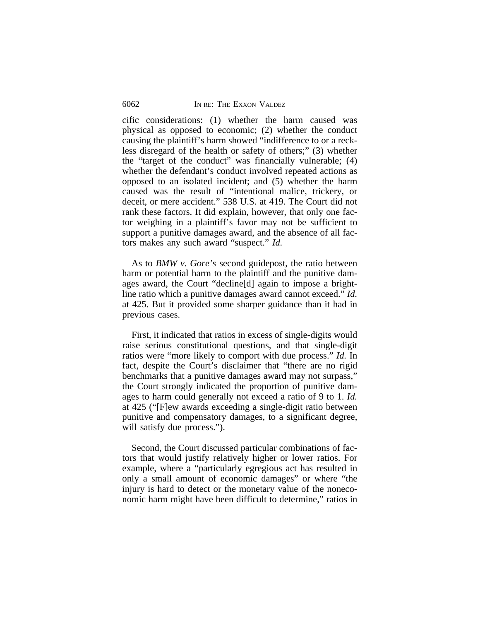cific considerations: (1) whether the harm caused was physical as opposed to economic; (2) whether the conduct causing the plaintiff's harm showed "indifference to or a reckless disregard of the health or safety of others;" (3) whether the "target of the conduct" was financially vulnerable; (4) whether the defendant's conduct involved repeated actions as opposed to an isolated incident; and (5) whether the harm caused was the result of "intentional malice, trickery, or deceit, or mere accident." 538 U.S. at 419. The Court did not rank these factors. It did explain, however, that only one factor weighing in a plaintiff's favor may not be sufficient to support a punitive damages award, and the absence of all factors makes any such award "suspect." *Id.*

As to *BMW v. Gore's* second guidepost, the ratio between harm or potential harm to the plaintiff and the punitive damages award, the Court "decline[d] again to impose a brightline ratio which a punitive damages award cannot exceed." *Id.* at 425. But it provided some sharper guidance than it had in previous cases.

First, it indicated that ratios in excess of single-digits would raise serious constitutional questions, and that single-digit ratios were "more likely to comport with due process." *Id.* In fact, despite the Court's disclaimer that "there are no rigid benchmarks that a punitive damages award may not surpass," the Court strongly indicated the proportion of punitive damages to harm could generally not exceed a ratio of 9 to 1. *Id.* at 425 ("[F]ew awards exceeding a single-digit ratio between punitive and compensatory damages, to a significant degree, will satisfy due process.").

Second, the Court discussed particular combinations of factors that would justify relatively higher or lower ratios. For example, where a "particularly egregious act has resulted in only a small amount of economic damages" or where "the injury is hard to detect or the monetary value of the noneconomic harm might have been difficult to determine," ratios in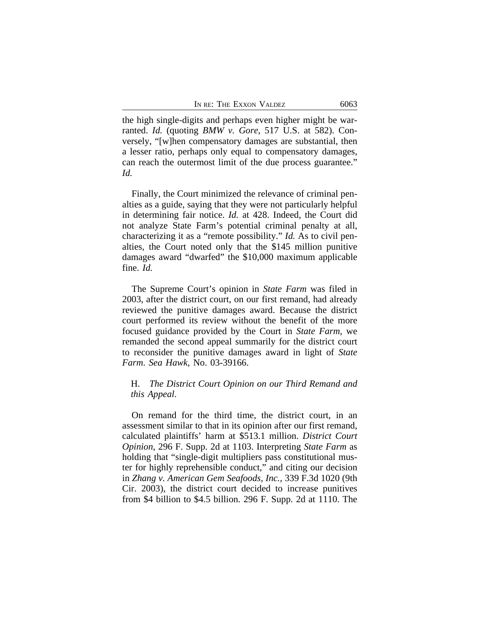the high single-digits and perhaps even higher might be warranted. *Id.* (quoting *BMW v. Gore*, 517 U.S. at 582). Conversely, "[w]hen compensatory damages are substantial, then a lesser ratio, perhaps only equal to compensatory damages, can reach the outermost limit of the due process guarantee." *Id.*

Finally, the Court minimized the relevance of criminal penalties as a guide, saying that they were not particularly helpful in determining fair notice. *Id.* at 428. Indeed, the Court did not analyze State Farm's potential criminal penalty at all, characterizing it as a "remote possibility." *Id.* As to civil penalties, the Court noted only that the \$145 million punitive damages award "dwarfed" the \$10,000 maximum applicable fine. *Id.* 

The Supreme Court's opinion in *State Farm* was filed in 2003, after the district court, on our first remand, had already reviewed the punitive damages award. Because the district court performed its review without the benefit of the more focused guidance provided by the Court in *State Farm*, we remanded the second appeal summarily for the district court to reconsider the punitive damages award in light of *State Farm*. *Sea Hawk*, No. 03-39166.

# H. *The District Court Opinion on our Third Remand and this Appeal*.

On remand for the third time, the district court, in an assessment similar to that in its opinion after our first remand, calculated plaintiffs' harm at \$513.1 million. *District Court Opinion*, 296 F. Supp. 2d at 1103. Interpreting *State Farm* as holding that "single-digit multipliers pass constitutional muster for highly reprehensible conduct," and citing our decision in *Zhang v. American Gem Seafoods, Inc.*, 339 F.3d 1020 (9th Cir. 2003), the district court decided to increase punitives from \$4 billion to \$4.5 billion. 296 F. Supp. 2d at 1110. The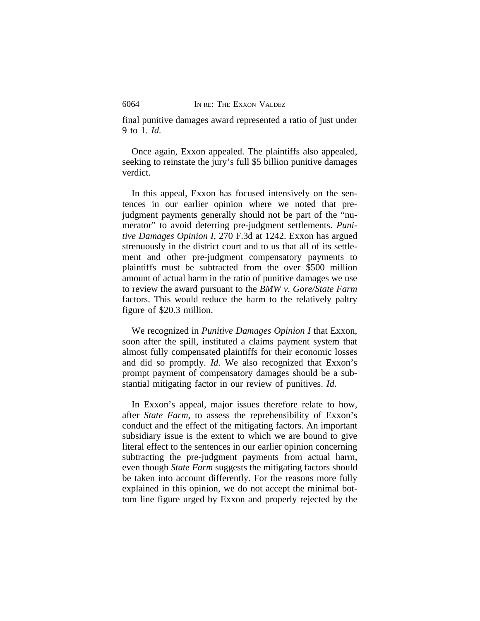final punitive damages award represented a ratio of just under 9 to 1. *Id.*

Once again, Exxon appealed. The plaintiffs also appealed, seeking to reinstate the jury's full \$5 billion punitive damages verdict.

In this appeal, Exxon has focused intensively on the sentences in our earlier opinion where we noted that prejudgment payments generally should not be part of the "numerator" to avoid deterring pre-judgment settlements. *Punitive Damages Opinion I*, 270 F.3d at 1242. Exxon has argued strenuously in the district court and to us that all of its settlement and other pre-judgment compensatory payments to plaintiffs must be subtracted from the over \$500 million amount of actual harm in the ratio of punitive damages we use to review the award pursuant to the *BMW v. Gore/State Farm* factors. This would reduce the harm to the relatively paltry figure of \$20.3 million.

We recognized in *Punitive Damages Opinion I* that Exxon, soon after the spill, instituted a claims payment system that almost fully compensated plaintiffs for their economic losses and did so promptly. *Id.* We also recognized that Exxon's prompt payment of compensatory damages should be a substantial mitigating factor in our review of punitives. *Id*.

In Exxon's appeal, major issues therefore relate to how, after *State Farm*, to assess the reprehensibility of Exxon's conduct and the effect of the mitigating factors. An important subsidiary issue is the extent to which we are bound to give literal effect to the sentences in our earlier opinion concerning subtracting the pre-judgment payments from actual harm, even though *State Farm* suggests the mitigating factors should be taken into account differently. For the reasons more fully explained in this opinion, we do not accept the minimal bottom line figure urged by Exxon and properly rejected by the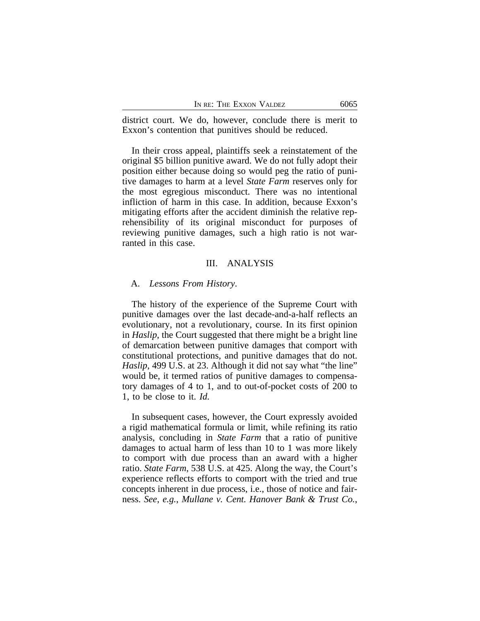district court. We do, however, conclude there is merit to Exxon's contention that punitives should be reduced.

In their cross appeal, plaintiffs seek a reinstatement of the original \$5 billion punitive award. We do not fully adopt their position either because doing so would peg the ratio of punitive damages to harm at a level *State Farm* reserves only for the most egregious misconduct. There was no intentional infliction of harm in this case. In addition, because Exxon's mitigating efforts after the accident diminish the relative reprehensibility of its original misconduct for purposes of reviewing punitive damages, such a high ratio is not warranted in this case.

# III. ANALYSIS

#### A. *Lessons From History*.

The history of the experience of the Supreme Court with punitive damages over the last decade-and-a-half reflects an evolutionary, not a revolutionary, course. In its first opinion in *Haslip*, the Court suggested that there might be a bright line of demarcation between punitive damages that comport with constitutional protections, and punitive damages that do not. *Haslip*, 499 U.S. at 23. Although it did not say what "the line" would be, it termed ratios of punitive damages to compensatory damages of 4 to 1, and to out-of-pocket costs of 200 to 1, to be close to it. *Id.*

In subsequent cases, however, the Court expressly avoided a rigid mathematical formula or limit, while refining its ratio analysis, concluding in *State Farm* that a ratio of punitive damages to actual harm of less than 10 to 1 was more likely to comport with due process than an award with a higher ratio. *State Farm*, 538 U.S. at 425. Along the way, the Court's experience reflects efforts to comport with the tried and true concepts inherent in due process, i.e., those of notice and fairness. *See, e.g.*, *Mullane v. Cent. Hanover Bank & Trust Co.*,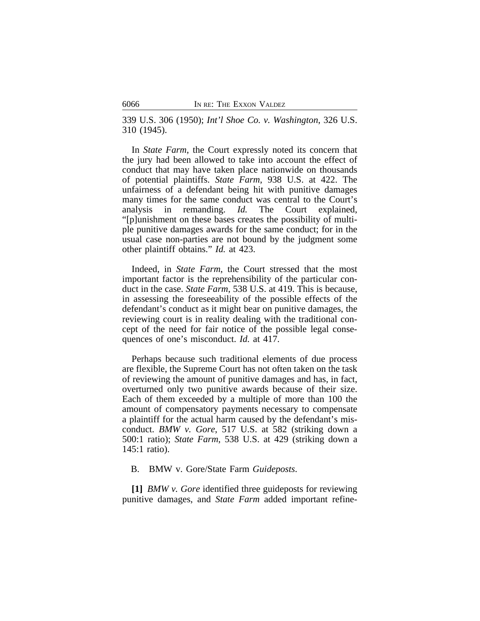339 U.S. 306 (1950); *Int'l Shoe Co. v. Washington*, 326 U.S. 310 (1945).

In *State Farm*, the Court expressly noted its concern that the jury had been allowed to take into account the effect of conduct that may have taken place nationwide on thousands of potential plaintiffs. *State Farm*, 938 U.S. at 422. The unfairness of a defendant being hit with punitive damages many times for the same conduct was central to the Court's analysis in remanding. *Id.* The Court explained, "[p]unishment on these bases creates the possibility of multiple punitive damages awards for the same conduct; for in the usual case non-parties are not bound by the judgment some other plaintiff obtains." *Id.* at 423.

Indeed, in *State Farm*, the Court stressed that the most important factor is the reprehensibility of the particular conduct in the case. *State Farm*, 538 U.S. at 419. This is because, in assessing the foreseeability of the possible effects of the defendant's conduct as it might bear on punitive damages, the reviewing court is in reality dealing with the traditional concept of the need for fair notice of the possible legal consequences of one's misconduct. *Id.* at 417.

Perhaps because such traditional elements of due process are flexible, the Supreme Court has not often taken on the task of reviewing the amount of punitive damages and has, in fact, overturned only two punitive awards because of their size. Each of them exceeded by a multiple of more than 100 the amount of compensatory payments necessary to compensate a plaintiff for the actual harm caused by the defendant's misconduct. *BMW v. Gore*, 517 U.S. at 582 (striking down a 500:1 ratio); *State Farm*, 538 U.S. at 429 (striking down a 145:1 ratio).

# B. BMW v. Gore/State Farm *Guideposts*.

**[1]** *BMW v. Gore* identified three guideposts for reviewing punitive damages, and *State Farm* added important refine-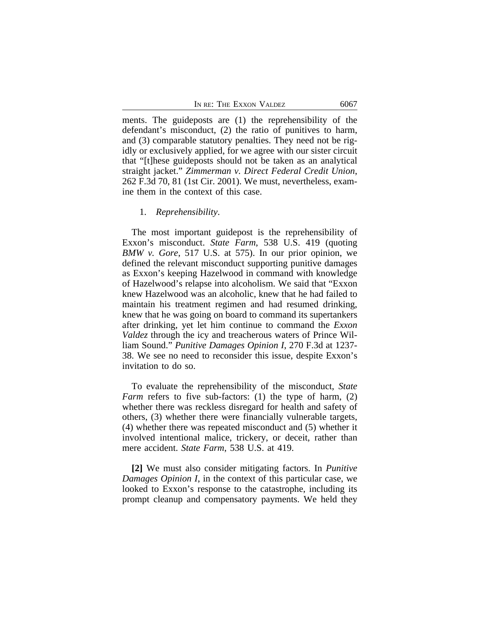ments. The guideposts are (1) the reprehensibility of the defendant's misconduct, (2) the ratio of punitives to harm, and (3) comparable statutory penalties. They need not be rigidly or exclusively applied, for we agree with our sister circuit that "[t]hese guideposts should not be taken as an analytical straight jacket." *Zimmerman v. Direct Federal Credit Union*, 262 F.3d 70, 81 (1st Cir. 2001). We must, nevertheless, examine them in the context of this case.

#### 1. *Reprehensibility*.

The most important guidepost is the reprehensibility of Exxon's misconduct. *State Farm*, 538 U.S. 419 (quoting *BMW v. Gore*, 517 U.S. at 575). In our prior opinion, we defined the relevant misconduct supporting punitive damages as Exxon's keeping Hazelwood in command with knowledge of Hazelwood's relapse into alcoholism. We said that "Exxon knew Hazelwood was an alcoholic, knew that he had failed to maintain his treatment regimen and had resumed drinking, knew that he was going on board to command its supertankers after drinking, yet let him continue to command the *Exxon Valdez* through the icy and treacherous waters of Prince William Sound." *Punitive Damages Opinion I*, 270 F.3d at 1237- 38. We see no need to reconsider this issue, despite Exxon's invitation to do so.

To evaluate the reprehensibility of the misconduct, *State Farm* refers to five sub-factors: (1) the type of harm, (2) whether there was reckless disregard for health and safety of others, (3) whether there were financially vulnerable targets, (4) whether there was repeated misconduct and (5) whether it involved intentional malice, trickery, or deceit, rather than mere accident. *State Farm*, 538 U.S. at 419.

**[2]** We must also consider mitigating factors. In *Punitive Damages Opinion I*, in the context of this particular case, we looked to Exxon's response to the catastrophe, including its prompt cleanup and compensatory payments. We held they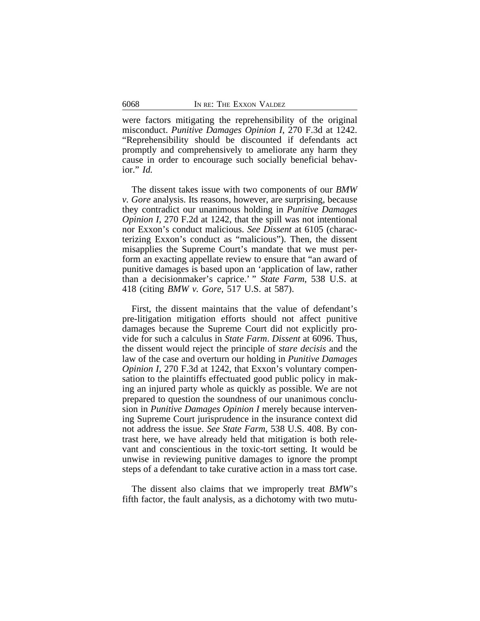were factors mitigating the reprehensibility of the original misconduct. *Punitive Damages Opinion I*, 270 F.3d at 1242. "Reprehensibility should be discounted if defendants act promptly and comprehensively to ameliorate any harm they cause in order to encourage such socially beneficial behavior." *Id.*

The dissent takes issue with two components of our *BMW v. Gore* analysis. Its reasons, however, are surprising, because they contradict our unanimous holding in *Punitive Damages Opinion I*, 270 F.2d at 1242, that the spill was not intentional nor Exxon's conduct malicious. *See Dissent* at 6105 (characterizing Exxon's conduct as "malicious"). Then, the dissent misapplies the Supreme Court's mandate that we must perform an exacting appellate review to ensure that "an award of punitive damages is based upon an 'application of law, rather than a decisionmaker's caprice.' " *State Farm*, 538 U.S. at 418 (citing *BMW v. Gore*, 517 U.S. at 587).

First, the dissent maintains that the value of defendant's pre-litigation mitigation efforts should not affect punitive damages because the Supreme Court did not explicitly provide for such a calculus in *State Farm*. *Dissent* at 6096. Thus, the dissent would reject the principle of *stare decisis* and the law of the case and overturn our holding in *Punitive Damages Opinion I*, 270 F.3d at 1242, that Exxon's voluntary compensation to the plaintiffs effectuated good public policy in making an injured party whole as quickly as possible. We are not prepared to question the soundness of our unanimous conclusion in *Punitive Damages Opinion I* merely because intervening Supreme Court jurisprudence in the insurance context did not address the issue. *See State Farm*, 538 U.S. 408. By contrast here, we have already held that mitigation is both relevant and conscientious in the toxic-tort setting. It would be unwise in reviewing punitive damages to ignore the prompt steps of a defendant to take curative action in a mass tort case.

The dissent also claims that we improperly treat *BMW*'s fifth factor, the fault analysis, as a dichotomy with two mutu-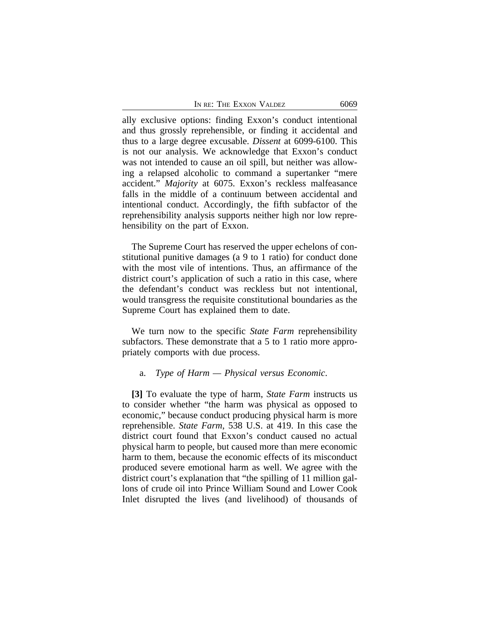ally exclusive options: finding Exxon's conduct intentional and thus grossly reprehensible, or finding it accidental and thus to a large degree excusable. *Dissent* at 6099-6100. This is not our analysis. We acknowledge that Exxon's conduct was not intended to cause an oil spill, but neither was allowing a relapsed alcoholic to command a supertanker "mere accident." *Majority* at 6075. Exxon's reckless malfeasance falls in the middle of a continuum between accidental and intentional conduct. Accordingly, the fifth subfactor of the reprehensibility analysis supports neither high nor low reprehensibility on the part of Exxon.

The Supreme Court has reserved the upper echelons of constitutional punitive damages (a 9 to 1 ratio) for conduct done with the most vile of intentions. Thus, an affirmance of the district court's application of such a ratio in this case, where the defendant's conduct was reckless but not intentional, would transgress the requisite constitutional boundaries as the Supreme Court has explained them to date.

We turn now to the specific *State Farm* reprehensibility subfactors. These demonstrate that a 5 to 1 ratio more appropriately comports with due process.

#### a. *Type of Harm — Physical versus Economic*.

**[3]** To evaluate the type of harm, *State Farm* instructs us to consider whether "the harm was physical as opposed to economic," because conduct producing physical harm is more reprehensible. *State Farm*, 538 U.S. at 419. In this case the district court found that Exxon's conduct caused no actual physical harm to people, but caused more than mere economic harm to them, because the economic effects of its misconduct produced severe emotional harm as well. We agree with the district court's explanation that "the spilling of 11 million gallons of crude oil into Prince William Sound and Lower Cook Inlet disrupted the lives (and livelihood) of thousands of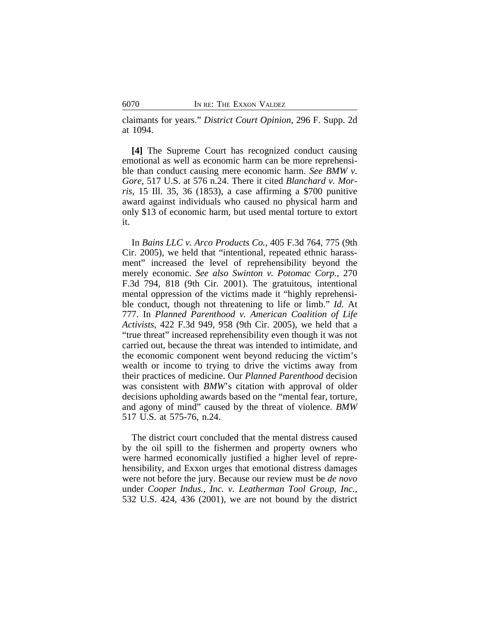claimants for years." *District Court Opinion*, 296 F. Supp. 2d at 1094.

**[4]** The Supreme Court has recognized conduct causing emotional as well as economic harm can be more reprehensible than conduct causing mere economic harm. *See BMW v. Gore*, 517 U.S. at 576 n.24. There it cited *Blanchard v. Morris*, 15 Ill. 35, 36 (1853), a case affirming a \$700 punitive award against individuals who caused no physical harm and only \$13 of economic harm, but used mental torture to extort it.

In *Bains LLC v. Arco Products Co.*, 405 F.3d 764, 775 (9th Cir. 2005), we held that "intentional, repeated ethnic harassment" increased the level of reprehensibility beyond the merely economic. *See also Swinton v. Potomac Corp.*, 270 F.3d 794, 818 (9th Cir. 2001). The gratuitous, intentional mental oppression of the victims made it "highly reprehensible conduct, though not threatening to life or limb." *Id.* At 777. In *Planned Parenthood v. American Coalition of Life Activists*, 422 F.3d 949, 958 (9th Cir. 2005), we held that a "true threat" increased reprehensibility even though it was not carried out, because the threat was intended to intimidate, and the economic component went beyond reducing the victim's wealth or income to trying to drive the victims away from their practices of medicine. Our *Planned Parenthood* decision was consistent with *BMW*'s citation with approval of older decisions upholding awards based on the "mental fear, torture, and agony of mind" caused by the threat of violence. *BMW* 517 U.S. at 575-76, n.24.

The district court concluded that the mental distress caused by the oil spill to the fishermen and property owners who were harmed economically justified a higher level of reprehensibility, and Exxon urges that emotional distress damages were not before the jury. Because our review must be *de novo* under *Cooper Indus., Inc. v. Leatherman Tool Group, Inc.*, 532 U.S. 424, 436 (2001), we are not bound by the district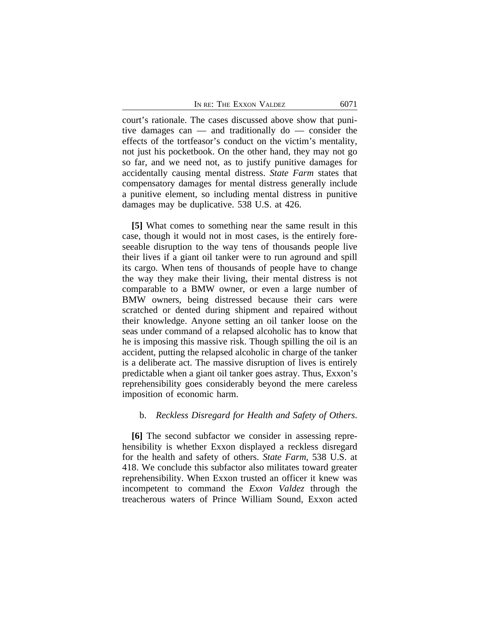court's rationale. The cases discussed above show that punitive damages can — and traditionally do — consider the effects of the tortfeasor's conduct on the victim's mentality, not just his pocketbook. On the other hand, they may not go so far, and we need not, as to justify punitive damages for accidentally causing mental distress. *State Farm* states that compensatory damages for mental distress generally include a punitive element, so including mental distress in punitive damages may be duplicative. 538 U.S. at 426.

**[5]** What comes to something near the same result in this case, though it would not in most cases, is the entirely foreseeable disruption to the way tens of thousands people live their lives if a giant oil tanker were to run aground and spill its cargo. When tens of thousands of people have to change the way they make their living, their mental distress is not comparable to a BMW owner, or even a large number of BMW owners, being distressed because their cars were scratched or dented during shipment and repaired without their knowledge. Anyone setting an oil tanker loose on the seas under command of a relapsed alcoholic has to know that he is imposing this massive risk. Though spilling the oil is an accident, putting the relapsed alcoholic in charge of the tanker is a deliberate act. The massive disruption of lives is entirely predictable when a giant oil tanker goes astray. Thus, Exxon's reprehensibility goes considerably beyond the mere careless imposition of economic harm.

# b. *Reckless Disregard for Health and Safety of Others*.

**[6]** The second subfactor we consider in assessing reprehensibility is whether Exxon displayed a reckless disregard for the health and safety of others. *State Farm*, 538 U.S. at 418. We conclude this subfactor also militates toward greater reprehensibility. When Exxon trusted an officer it knew was incompetent to command the *Exxon Valdez* through the treacherous waters of Prince William Sound, Exxon acted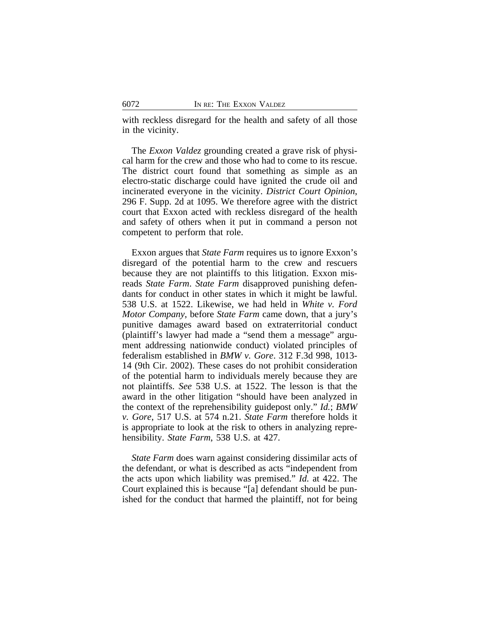with reckless disregard for the health and safety of all those in the vicinity.

The *Exxon Valdez* grounding created a grave risk of physical harm for the crew and those who had to come to its rescue. The district court found that something as simple as an electro-static discharge could have ignited the crude oil and incinerated everyone in the vicinity. *District Court Opinion*, 296 F. Supp. 2d at 1095. We therefore agree with the district court that Exxon acted with reckless disregard of the health and safety of others when it put in command a person not competent to perform that role.

Exxon argues that *State Farm* requires us to ignore Exxon's disregard of the potential harm to the crew and rescuers because they are not plaintiffs to this litigation. Exxon misreads *State Farm*. *State Farm* disapproved punishing defendants for conduct in other states in which it might be lawful. 538 U.S. at 1522. Likewise, we had held in *White v. Ford Motor Company*, before *State Farm* came down, that a jury's punitive damages award based on extraterritorial conduct (plaintiff's lawyer had made a "send them a message" argument addressing nationwide conduct) violated principles of federalism established in *BMW v. Gore*. 312 F.3d 998, 1013- 14 (9th Cir. 2002). These cases do not prohibit consideration of the potential harm to individuals merely because they are not plaintiffs. *See* 538 U.S. at 1522. The lesson is that the award in the other litigation "should have been analyzed in the context of the reprehensibility guidepost only." *Id.*; *BMW v. Gore*, 517 U.S. at 574 n.21. *State Farm* therefore holds it is appropriate to look at the risk to others in analyzing reprehensibility. *State Farm*, 538 U.S. at 427.

*State Farm* does warn against considering dissimilar acts of the defendant, or what is described as acts "independent from the acts upon which liability was premised." *Id.* at 422. The Court explained this is because "[a] defendant should be punished for the conduct that harmed the plaintiff, not for being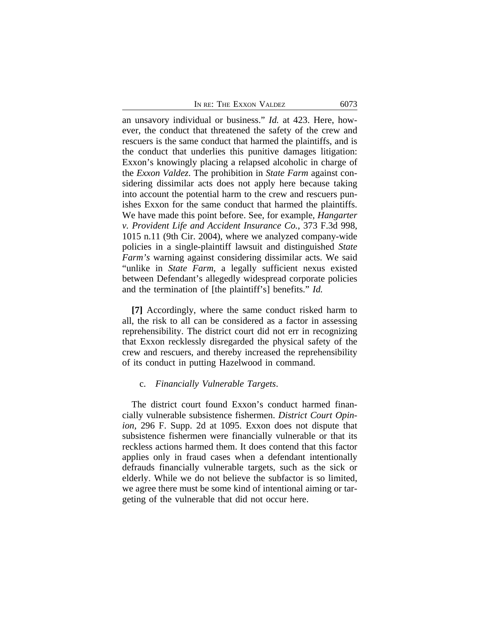an unsavory individual or business." *Id.* at 423. Here, however, the conduct that threatened the safety of the crew and rescuers is the same conduct that harmed the plaintiffs, and is the conduct that underlies this punitive damages litigation: Exxon's knowingly placing a relapsed alcoholic in charge of the *Exxon Valdez*. The prohibition in *State Farm* against considering dissimilar acts does not apply here because taking into account the potential harm to the crew and rescuers punishes Exxon for the same conduct that harmed the plaintiffs. We have made this point before. See, for example, *Hangarter v. Provident Life and Accident Insurance Co.*, 373 F.3d 998, 1015 n.11 (9th Cir. 2004), where we analyzed company-wide policies in a single-plaintiff lawsuit and distinguished *State Farm's* warning against considering dissimilar acts. We said "unlike in *State Farm*, a legally sufficient nexus existed between Defendant's allegedly widespread corporate policies and the termination of [the plaintiff's] benefits." *Id.*

**[7]** Accordingly, where the same conduct risked harm to all, the risk to all can be considered as a factor in assessing reprehensibility. The district court did not err in recognizing that Exxon recklessly disregarded the physical safety of the crew and rescuers, and thereby increased the reprehensibility of its conduct in putting Hazelwood in command.

#### c. *Financially Vulnerable Targets*.

The district court found Exxon's conduct harmed financially vulnerable subsistence fishermen. *District Court Opinion*, 296 F. Supp. 2d at 1095. Exxon does not dispute that subsistence fishermen were financially vulnerable or that its reckless actions harmed them. It does contend that this factor applies only in fraud cases when a defendant intentionally defrauds financially vulnerable targets, such as the sick or elderly. While we do not believe the subfactor is so limited, we agree there must be some kind of intentional aiming or targeting of the vulnerable that did not occur here.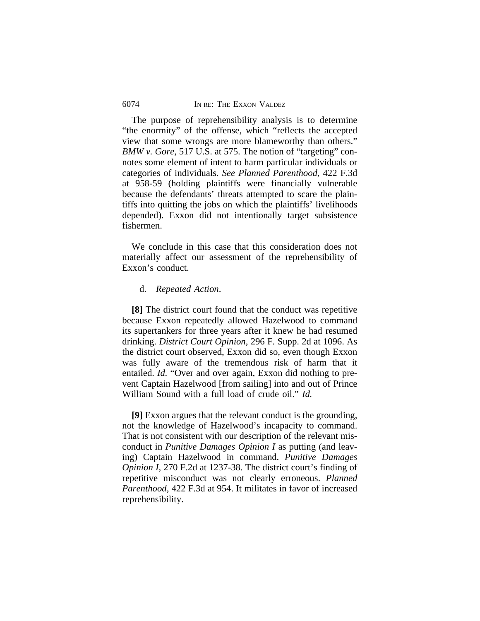The purpose of reprehensibility analysis is to determine "the enormity" of the offense, which "reflects the accepted view that some wrongs are more blameworthy than others." *BMW v. Gore*, 517 U.S. at 575. The notion of "targeting" connotes some element of intent to harm particular individuals or categories of individuals. *See Planned Parenthood*, 422 F.3d at 958-59 (holding plaintiffs were financially vulnerable because the defendants' threats attempted to scare the plaintiffs into quitting the jobs on which the plaintiffs' livelihoods depended). Exxon did not intentionally target subsistence fishermen.

We conclude in this case that this consideration does not materially affect our assessment of the reprehensibility of Exxon's conduct.

# d. *Repeated Action*.

**[8]** The district court found that the conduct was repetitive because Exxon repeatedly allowed Hazelwood to command its supertankers for three years after it knew he had resumed drinking. *District Court Opinion*, 296 F. Supp. 2d at 1096. As the district court observed, Exxon did so, even though Exxon was fully aware of the tremendous risk of harm that it entailed. *Id.* "Over and over again, Exxon did nothing to prevent Captain Hazelwood [from sailing] into and out of Prince William Sound with a full load of crude oil." *Id.* 

**[9]** Exxon argues that the relevant conduct is the grounding, not the knowledge of Hazelwood's incapacity to command. That is not consistent with our description of the relevant misconduct in *Punitive Damages Opinion I* as putting (and leaving) Captain Hazelwood in command. *Punitive Damages Opinion I*, 270 F.2d at 1237-38. The district court's finding of repetitive misconduct was not clearly erroneous. *Planned Parenthood*, 422 F.3d at 954. It militates in favor of increased reprehensibility.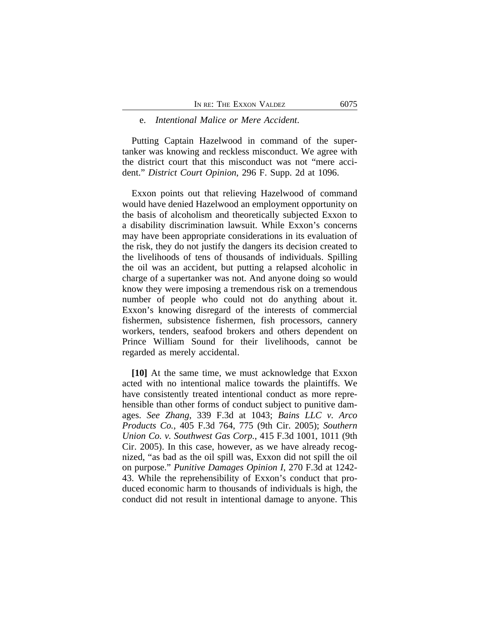#### e. *Intentional Malice or Mere Accident*.

Putting Captain Hazelwood in command of the supertanker was knowing and reckless misconduct. We agree with the district court that this misconduct was not "mere accident." *District Court Opinion*, 296 F. Supp. 2d at 1096.

Exxon points out that relieving Hazelwood of command would have denied Hazelwood an employment opportunity on the basis of alcoholism and theoretically subjected Exxon to a disability discrimination lawsuit. While Exxon's concerns may have been appropriate considerations in its evaluation of the risk, they do not justify the dangers its decision created to the livelihoods of tens of thousands of individuals. Spilling the oil was an accident, but putting a relapsed alcoholic in charge of a supertanker was not. And anyone doing so would know they were imposing a tremendous risk on a tremendous number of people who could not do anything about it. Exxon's knowing disregard of the interests of commercial fishermen, subsistence fishermen, fish processors, cannery workers, tenders, seafood brokers and others dependent on Prince William Sound for their livelihoods, cannot be regarded as merely accidental.

**[10]** At the same time, we must acknowledge that Exxon acted with no intentional malice towards the plaintiffs. We have consistently treated intentional conduct as more reprehensible than other forms of conduct subject to punitive damages. *See Zhang*, 339 F.3d at 1043; *Bains LLC v. Arco Products Co.*, 405 F.3d 764, 775 (9th Cir. 2005); *Southern Union Co. v. Southwest Gas Corp.*, 415 F.3d 1001, 1011 (9th Cir. 2005). In this case, however, as we have already recognized, "as bad as the oil spill was, Exxon did not spill the oil on purpose." *Punitive Damages Opinion I*, 270 F.3d at 1242- 43. While the reprehensibility of Exxon's conduct that produced economic harm to thousands of individuals is high, the conduct did not result in intentional damage to anyone. This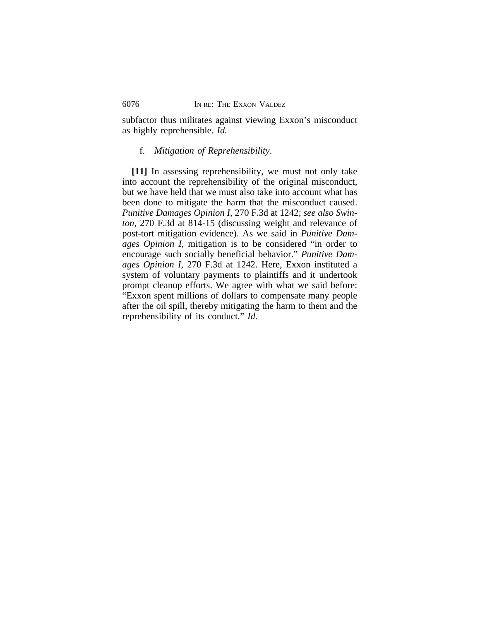subfactor thus militates against viewing Exxon's misconduct as highly reprehensible. *Id.*

# f. *Mitigation of Reprehensibility*.

**[11]** In assessing reprehensibility, we must not only take into account the reprehensibility of the original misconduct, but we have held that we must also take into account what has been done to mitigate the harm that the misconduct caused. *Punitive Damages Opinion I*, 270 F.3d at 1242; *see also Swinton*, 270 F.3d at 814-15 (discussing weight and relevance of post-tort mitigation evidence). As we said in *Punitive Damages Opinion I*, mitigation is to be considered "in order to encourage such socially beneficial behavior." *Punitive Damages Opinion I*, 270 F.3d at 1242. Here, Exxon instituted a system of voluntary payments to plaintiffs and it undertook prompt cleanup efforts. We agree with what we said before: "Exxon spent millions of dollars to compensate many people after the oil spill, thereby mitigating the harm to them and the reprehensibility of its conduct." *Id.*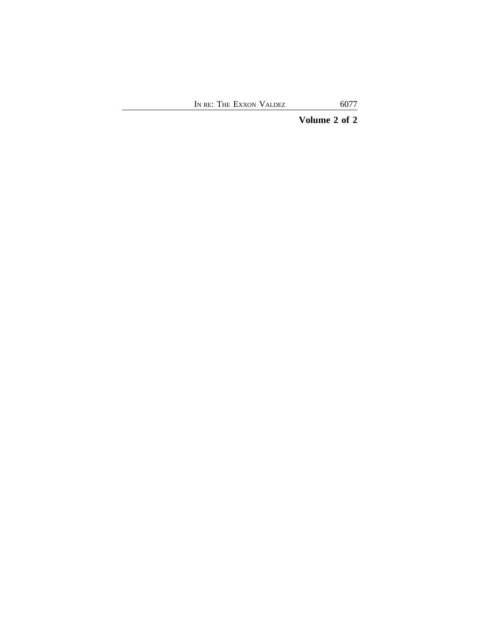# **Volume 2 of 2**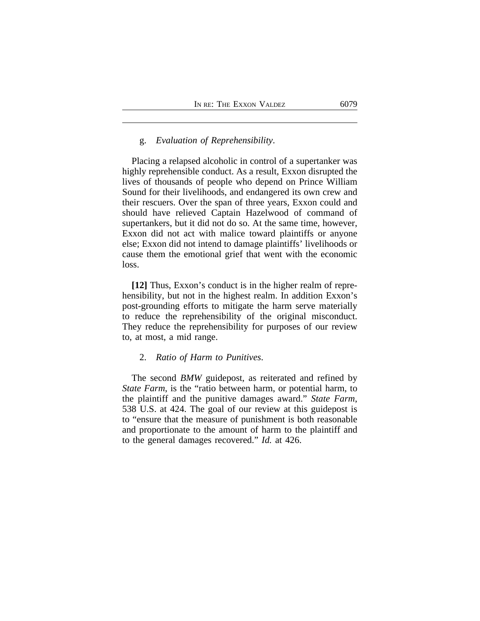# g. *Evaluation of Reprehensibility*.

Placing a relapsed alcoholic in control of a supertanker was highly reprehensible conduct. As a result, Exxon disrupted the lives of thousands of people who depend on Prince William Sound for their livelihoods, and endangered its own crew and their rescuers. Over the span of three years, Exxon could and should have relieved Captain Hazelwood of command of supertankers, but it did not do so. At the same time, however, Exxon did not act with malice toward plaintiffs or anyone else; Exxon did not intend to damage plaintiffs' livelihoods or cause them the emotional grief that went with the economic loss.

**[12]** Thus, Exxon's conduct is in the higher realm of reprehensibility, but not in the highest realm. In addition Exxon's post-grounding efforts to mitigate the harm serve materially to reduce the reprehensibility of the original misconduct. They reduce the reprehensibility for purposes of our review to, at most, a mid range.

# 2. *Ratio of Harm to Punitives*.

The second *BMW* guidepost, as reiterated and refined by *State Farm*, is the "ratio between harm, or potential harm, to the plaintiff and the punitive damages award." *State Farm*, 538 U.S. at 424. The goal of our review at this guidepost is to "ensure that the measure of punishment is both reasonable and proportionate to the amount of harm to the plaintiff and to the general damages recovered." *Id.* at 426.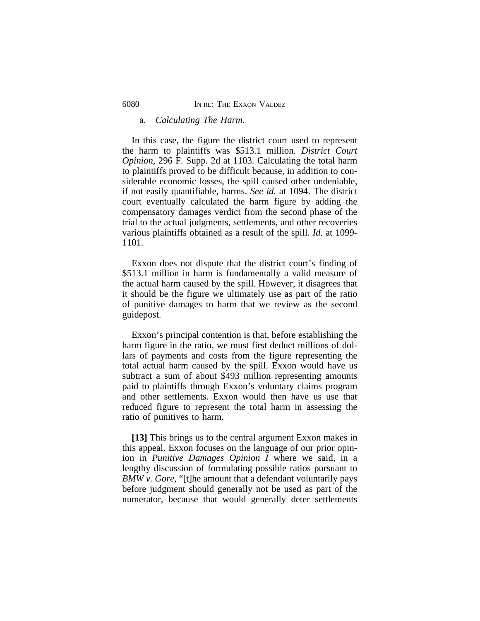### a. *Calculating The Harm.*

In this case, the figure the district court used to represent the harm to plaintiffs was \$513.1 million. *District Court Opinion*, 296 F. Supp. 2d at 1103. Calculating the total harm to plaintiffs proved to be difficult because, in addition to considerable economic losses, the spill caused other undeniable, if not easily quantifiable, harms. *See id.* at 1094. The district court eventually calculated the harm figure by adding the compensatory damages verdict from the second phase of the trial to the actual judgments, settlements, and other recoveries various plaintiffs obtained as a result of the spill. *Id.* at 1099- 1101.

Exxon does not dispute that the district court's finding of \$513.1 million in harm is fundamentally a valid measure of the actual harm caused by the spill. However, it disagrees that it should be the figure we ultimately use as part of the ratio of punitive damages to harm that we review as the second guidepost.

Exxon's principal contention is that, before establishing the harm figure in the ratio, we must first deduct millions of dollars of payments and costs from the figure representing the total actual harm caused by the spill. Exxon would have us subtract a sum of about \$493 million representing amounts paid to plaintiffs through Exxon's voluntary claims program and other settlements. Exxon would then have us use that reduced figure to represent the total harm in assessing the ratio of punitives to harm.

**[13]** This brings us to the central argument Exxon makes in this appeal. Exxon focuses on the language of our prior opinion in *Punitive Damages Opinion I* where we said, in a lengthy discussion of formulating possible ratios pursuant to *BMW v. Gore*, "[t]he amount that a defendant voluntarily pays before judgment should generally not be used as part of the numerator, because that would generally deter settlements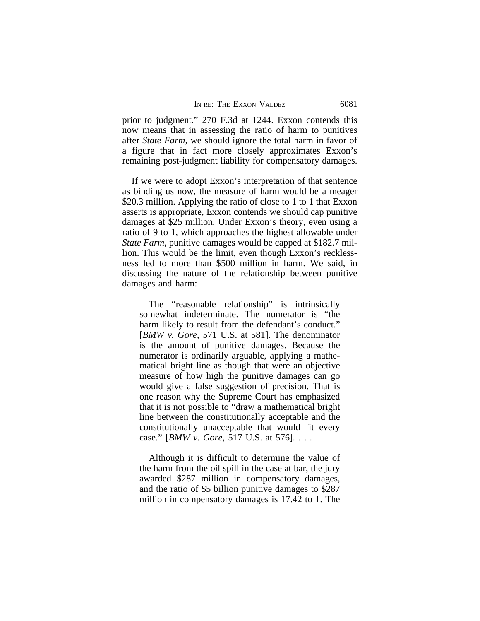|  | In re: The Exxon Valdez | 6081 |
|--|-------------------------|------|
|  |                         |      |

prior to judgment." 270 F.3d at 1244. Exxon contends this now means that in assessing the ratio of harm to punitives after *State Farm*, we should ignore the total harm in favor of a figure that in fact more closely approximates Exxon's remaining post-judgment liability for compensatory damages.

If we were to adopt Exxon's interpretation of that sentence as binding us now, the measure of harm would be a meager \$20.3 million. Applying the ratio of close to 1 to 1 that Exxon asserts is appropriate, Exxon contends we should cap punitive damages at \$25 million. Under Exxon's theory, even using a ratio of 9 to 1, which approaches the highest allowable under *State Farm*, punitive damages would be capped at \$182.7 million. This would be the limit, even though Exxon's recklessness led to more than \$500 million in harm. We said, in discussing the nature of the relationship between punitive damages and harm:

The "reasonable relationship" is intrinsically somewhat indeterminate. The numerator is "the harm likely to result from the defendant's conduct." [*BMW v. Gore*, 571 U.S. at 581]. The denominator is the amount of punitive damages. Because the numerator is ordinarily arguable, applying a mathematical bright line as though that were an objective measure of how high the punitive damages can go would give a false suggestion of precision. That is one reason why the Supreme Court has emphasized that it is not possible to "draw a mathematical bright line between the constitutionally acceptable and the constitutionally unacceptable that would fit every case." [*BMW v. Gore*, 517 U.S. at 576]. . . .

Although it is difficult to determine the value of the harm from the oil spill in the case at bar, the jury awarded \$287 million in compensatory damages, and the ratio of \$5 billion punitive damages to \$287 million in compensatory damages is 17.42 to 1. The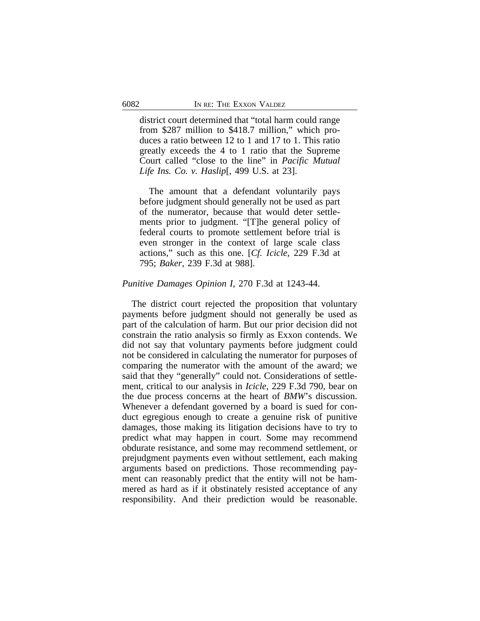district court determined that "total harm could range from \$287 million to \$418.7 million," which produces a ratio between 12 to 1 and 17 to 1. This ratio greatly exceeds the 4 to 1 ratio that the Supreme Court called "close to the line" in *Pacific Mutual Life Ins. Co. v. Haslip*[, 499 U.S. at 23].

The amount that a defendant voluntarily pays before judgment should generally not be used as part of the numerator, because that would deter settlements prior to judgment. "[T]he general policy of federal courts to promote settlement before trial is even stronger in the context of large scale class actions," such as this one. [*Cf. Icicle*, 229 F.3d at 795; *Baker*, 239 F.3d at 988].

#### *Punitive Damages Opinion I*, 270 F.3d at 1243-44.

The district court rejected the proposition that voluntary payments before judgment should not generally be used as part of the calculation of harm. But our prior decision did not constrain the ratio analysis so firmly as Exxon contends. We did not say that voluntary payments before judgment could not be considered in calculating the numerator for purposes of comparing the numerator with the amount of the award; we said that they "generally" could not. Considerations of settlement, critical to our analysis in *Icicle*, 229 F.3d 790, bear on the due process concerns at the heart of *BMW*'s discussion. Whenever a defendant governed by a board is sued for conduct egregious enough to create a genuine risk of punitive damages, those making its litigation decisions have to try to predict what may happen in court. Some may recommend obdurate resistance, and some may recommend settlement, or prejudgment payments even without settlement, each making arguments based on predictions. Those recommending payment can reasonably predict that the entity will not be hammered as hard as if it obstinately resisted acceptance of any responsibility. And their prediction would be reasonable.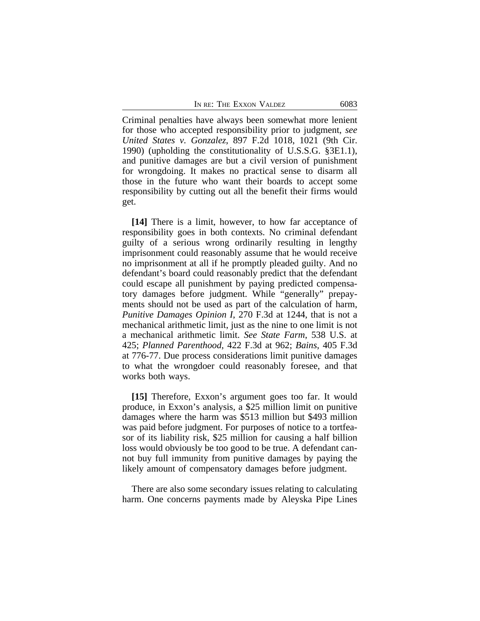Criminal penalties have always been somewhat more lenient for those who accepted responsibility prior to judgment, *see United States v. Gonzalez*, 897 F.2d 1018, 1021 (9th Cir. 1990) (upholding the constitutionality of U.S.S.G. §3E1.1), and punitive damages are but a civil version of punishment for wrongdoing. It makes no practical sense to disarm all those in the future who want their boards to accept some responsibility by cutting out all the benefit their firms would get.

**[14]** There is a limit, however, to how far acceptance of responsibility goes in both contexts. No criminal defendant guilty of a serious wrong ordinarily resulting in lengthy imprisonment could reasonably assume that he would receive no imprisonment at all if he promptly pleaded guilty. And no defendant's board could reasonably predict that the defendant could escape all punishment by paying predicted compensatory damages before judgment. While "generally" prepayments should not be used as part of the calculation of harm, *Punitive Damages Opinion I*, 270 F.3d at 1244, that is not a mechanical arithmetic limit, just as the nine to one limit is not a mechanical arithmetic limit. *See State Farm*, 538 U.S. at 425; *Planned Parenthood*, 422 F.3d at 962; *Bains*, 405 F.3d at 776-77. Due process considerations limit punitive damages to what the wrongdoer could reasonably foresee, and that works both ways.

**[15]** Therefore, Exxon's argument goes too far. It would produce, in Exxon's analysis, a \$25 million limit on punitive damages where the harm was \$513 million but \$493 million was paid before judgment. For purposes of notice to a tortfeasor of its liability risk, \$25 million for causing a half billion loss would obviously be too good to be true. A defendant cannot buy full immunity from punitive damages by paying the likely amount of compensatory damages before judgment.

There are also some secondary issues relating to calculating harm. One concerns payments made by Aleyska Pipe Lines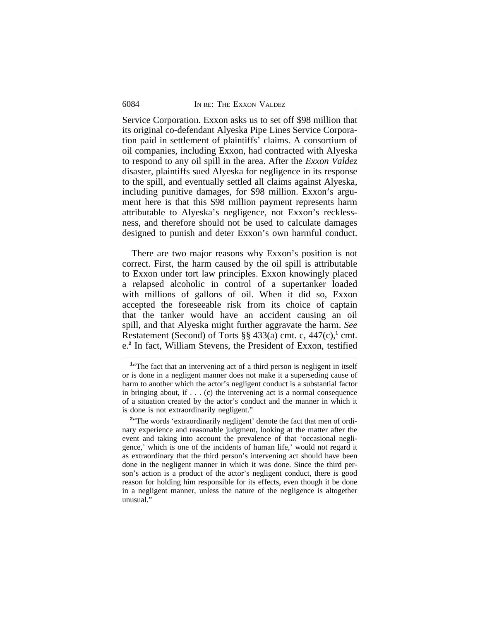Service Corporation. Exxon asks us to set off \$98 million that its original co-defendant Alyeska Pipe Lines Service Corporation paid in settlement of plaintiffs' claims. A consortium of oil companies, including Exxon, had contracted with Alyeska to respond to any oil spill in the area. After the *Exxon Valdez* disaster, plaintiffs sued Alyeska for negligence in its response to the spill, and eventually settled all claims against Alyeska, including punitive damages, for \$98 million. Exxon's argument here is that this \$98 million payment represents harm attributable to Alyeska's negligence, not Exxon's recklessness, and therefore should not be used to calculate damages designed to punish and deter Exxon's own harmful conduct.

There are two major reasons why Exxon's position is not correct. First, the harm caused by the oil spill is attributable to Exxon under tort law principles. Exxon knowingly placed a relapsed alcoholic in control of a supertanker loaded with millions of gallons of oil. When it did so, Exxon accepted the foreseeable risk from its choice of captain that the tanker would have an accident causing an oil spill, and that Alyeska might further aggravate the harm. *See* Restatement (Second) of Torts  $\S\S 433(a)$  cmt. c,  $447(c)$ ,<sup>1</sup> cmt. e.**2** In fact, William Stevens, the President of Exxon, testified

<sup>&</sup>lt;sup>1</sup><sup>t</sup>The fact that an intervening act of a third person is negligent in itself or is done in a negligent manner does not make it a superseding cause of harm to another which the actor's negligent conduct is a substantial factor in bringing about, if . . . (c) the intervening act is a normal consequence of a situation created by the actor's conduct and the manner in which it is done is not extraordinarily negligent."

<sup>&</sup>lt;sup>2</sup><sup>*a*</sup>The words 'extraordinarily negligent' denote the fact that men of ordinary experience and reasonable judgment, looking at the matter after the event and taking into account the prevalence of that 'occasional negligence,' which is one of the incidents of human life,' would not regard it as extraordinary that the third person's intervening act should have been done in the negligent manner in which it was done. Since the third person's action is a product of the actor's negligent conduct, there is good reason for holding him responsible for its effects, even though it be done in a negligent manner, unless the nature of the negligence is altogether unusual."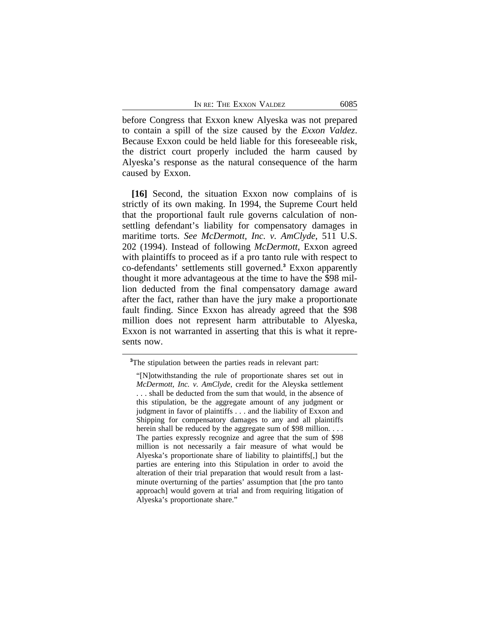before Congress that Exxon knew Alyeska was not prepared to contain a spill of the size caused by the *Exxon Valdez*. Because Exxon could be held liable for this foreseeable risk, the district court properly included the harm caused by Alyeska's response as the natural consequence of the harm caused by Exxon.

**[16]** Second, the situation Exxon now complains of is strictly of its own making. In 1994, the Supreme Court held that the proportional fault rule governs calculation of nonsettling defendant's liability for compensatory damages in maritime torts. *See McDermott, Inc. v. AmClyde*, 511 U.S. 202 (1994). Instead of following *McDermott*, Exxon agreed with plaintiffs to proceed as if a pro tanto rule with respect to co-defendants' settlements still governed.**<sup>3</sup>** Exxon apparently thought it more advantageous at the time to have the \$98 million deducted from the final compensatory damage award after the fact, rather than have the jury make a proportionate fault finding. Since Exxon has already agreed that the \$98 million does not represent harm attributable to Alyeska, Exxon is not warranted in asserting that this is what it represents now.

<sup>&</sup>lt;sup>3</sup>The stipulation between the parties reads in relevant part:

<sup>&</sup>quot;[N]otwithstanding the rule of proportionate shares set out in *McDermott, Inc. v. AmClyde*, credit for the Aleyska settlement . . . shall be deducted from the sum that would, in the absence of this stipulation, be the aggregate amount of any judgment or judgment in favor of plaintiffs . . . and the liability of Exxon and Shipping for compensatory damages to any and all plaintiffs herein shall be reduced by the aggregate sum of \$98 million. . . . The parties expressly recognize and agree that the sum of \$98 million is not necessarily a fair measure of what would be Alyeska's proportionate share of liability to plaintiffs[,] but the parties are entering into this Stipulation in order to avoid the alteration of their trial preparation that would result from a lastminute overturning of the parties' assumption that [the pro tanto approach] would govern at trial and from requiring litigation of Alyeska's proportionate share."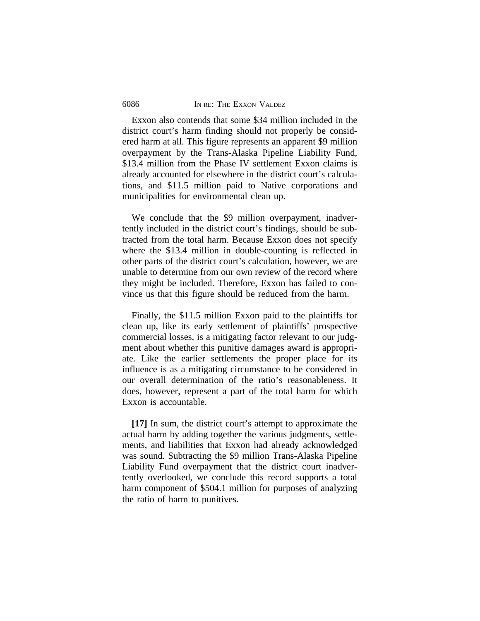Exxon also contends that some \$34 million included in the district court's harm finding should not properly be considered harm at all. This figure represents an apparent \$9 million overpayment by the Trans-Alaska Pipeline Liability Fund, \$13.4 million from the Phase IV settlement Exxon claims is already accounted for elsewhere in the district court's calculations, and \$11.5 million paid to Native corporations and municipalities for environmental clean up.

We conclude that the \$9 million overpayment, inadvertently included in the district court's findings, should be subtracted from the total harm. Because Exxon does not specify where the \$13.4 million in double-counting is reflected in other parts of the district court's calculation, however, we are unable to determine from our own review of the record where they might be included. Therefore, Exxon has failed to convince us that this figure should be reduced from the harm.

Finally, the \$11.5 million Exxon paid to the plaintiffs for clean up, like its early settlement of plaintiffs' prospective commercial losses, is a mitigating factor relevant to our judgment about whether this punitive damages award is appropriate. Like the earlier settlements the proper place for its influence is as a mitigating circumstance to be considered in our overall determination of the ratio's reasonableness. It does, however, represent a part of the total harm for which Exxon is accountable.

**[17]** In sum, the district court's attempt to approximate the actual harm by adding together the various judgments, settlements, and liabilities that Exxon had already acknowledged was sound. Subtracting the \$9 million Trans-Alaska Pipeline Liability Fund overpayment that the district court inadvertently overlooked, we conclude this record supports a total harm component of \$504.1 million for purposes of analyzing the ratio of harm to punitives.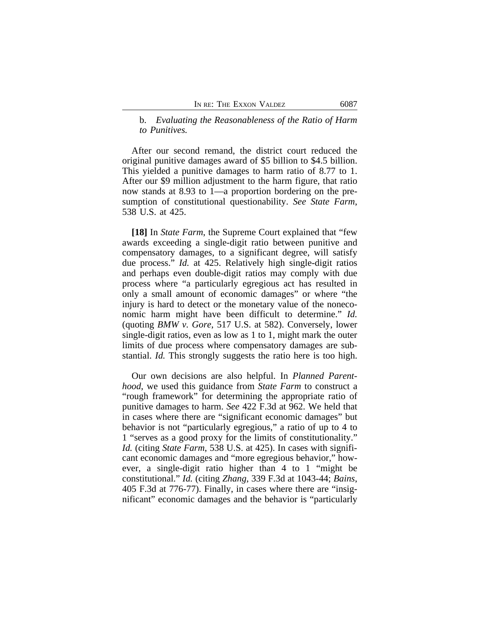# b. *Evaluating the Reasonableness of the Ratio of Harm to Punitives.*

After our second remand, the district court reduced the original punitive damages award of \$5 billion to \$4.5 billion. This yielded a punitive damages to harm ratio of 8.77 to 1. After our \$9 million adjustment to the harm figure, that ratio now stands at 8.93 to 1—a proportion bordering on the presumption of constitutional questionability. *See State Farm*, 538 U.S. at 425.

**[18]** In *State Farm*, the Supreme Court explained that "few awards exceeding a single-digit ratio between punitive and compensatory damages, to a significant degree, will satisfy due process." *Id.* at 425. Relatively high single-digit ratios and perhaps even double-digit ratios may comply with due process where "a particularly egregious act has resulted in only a small amount of economic damages" or where "the injury is hard to detect or the monetary value of the noneconomic harm might have been difficult to determine." *Id.* (quoting *BMW v. Gore*, 517 U.S. at 582). Conversely, lower single-digit ratios, even as low as 1 to 1, might mark the outer limits of due process where compensatory damages are substantial. *Id.* This strongly suggests the ratio here is too high.

Our own decisions are also helpful. In *Planned Parenthood*, we used this guidance from *State Farm* to construct a "rough framework" for determining the appropriate ratio of punitive damages to harm. *See* 422 F.3d at 962. We held that in cases where there are "significant economic damages" but behavior is not "particularly egregious," a ratio of up to 4 to 1 "serves as a good proxy for the limits of constitutionality." *Id.* (citing *State Farm*, 538 U.S. at 425). In cases with significant economic damages and "more egregious behavior," however, a single-digit ratio higher than 4 to 1 "might be constitutional." *Id.* (citing *Zhang*, 339 F.3d at 1043-44; *Bains*, 405 F.3d at 776-77). Finally, in cases where there are "insignificant" economic damages and the behavior is "particularly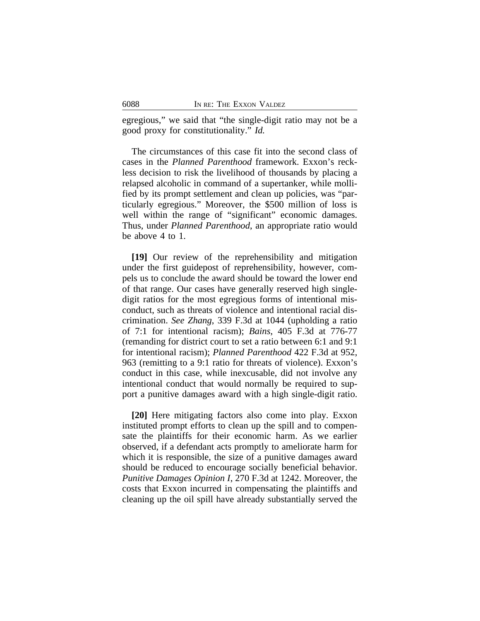egregious," we said that "the single-digit ratio may not be a good proxy for constitutionality." *Id.* 

The circumstances of this case fit into the second class of cases in the *Planned Parenthood* framework. Exxon's reckless decision to risk the livelihood of thousands by placing a relapsed alcoholic in command of a supertanker, while mollified by its prompt settlement and clean up policies, was "particularly egregious." Moreover, the \$500 million of loss is well within the range of "significant" economic damages. Thus, under *Planned Parenthood*, an appropriate ratio would be above 4 to 1.

**[19]** Our review of the reprehensibility and mitigation under the first guidepost of reprehensibility, however, compels us to conclude the award should be toward the lower end of that range. Our cases have generally reserved high singledigit ratios for the most egregious forms of intentional misconduct, such as threats of violence and intentional racial discrimination. *See Zhang*, 339 F.3d at 1044 (upholding a ratio of 7:1 for intentional racism); *Bains*, 405 F.3d at 776-77 (remanding for district court to set a ratio between 6:1 and 9:1 for intentional racism); *Planned Parenthood* 422 F.3d at 952, 963 (remitting to a 9:1 ratio for threats of violence). Exxon's conduct in this case, while inexcusable, did not involve any intentional conduct that would normally be required to support a punitive damages award with a high single-digit ratio.

**[20]** Here mitigating factors also come into play. Exxon instituted prompt efforts to clean up the spill and to compensate the plaintiffs for their economic harm. As we earlier observed, if a defendant acts promptly to ameliorate harm for which it is responsible, the size of a punitive damages award should be reduced to encourage socially beneficial behavior. *Punitive Damages Opinion I*, 270 F.3d at 1242. Moreover, the costs that Exxon incurred in compensating the plaintiffs and cleaning up the oil spill have already substantially served the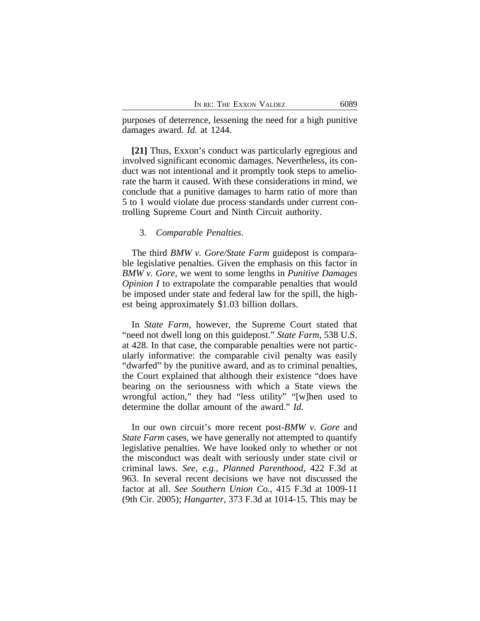purposes of deterrence, lessening the need for a high punitive damages award. *Id.* at 1244.

**[21]** Thus, Exxon's conduct was particularly egregious and involved significant economic damages. Nevertheless, its conduct was not intentional and it promptly took steps to ameliorate the harm it caused. With these considerations in mind, we conclude that a punitive damages to harm ratio of more than 5 to 1 would violate due process standards under current controlling Supreme Court and Ninth Circuit authority.

#### 3. *Comparable Penalties*.

The third *BMW v. Gore/State Farm* guidepost is comparable legislative penalties. Given the emphasis on this factor in *BMW v. Gore*, we went to some lengths in *Punitive Damages Opinion I* to extrapolate the comparable penalties that would be imposed under state and federal law for the spill, the highest being approximately \$1.03 billion dollars.

In *State Farm*, however, the Supreme Court stated that "need not dwell long on this guidepost." *State Farm*, 538 U.S. at 428. In that case, the comparable penalties were not particularly informative: the comparable civil penalty was easily "dwarfed" by the punitive award, and as to criminal penalties, the Court explained that although their existence "does have bearing on the seriousness with which a State views the wrongful action," they had "less utility" "[w]hen used to determine the dollar amount of the award." *Id*.

In our own circuit's more recent post-*BMW v. Gore* and *State Farm* cases, we have generally not attempted to quantify legislative penalties. We have looked only to whether or not the misconduct was dealt with seriously under state civil or criminal laws. *See, e.g.*, *Planned Parenthood*, 422 F.3d at 963. In several recent decisions we have not discussed the factor at all. *See Southern Union Co.*, 415 F.3d at 1009-11 (9th Cir. 2005); *Hangarter*, 373 F.3d at 1014-15. This may be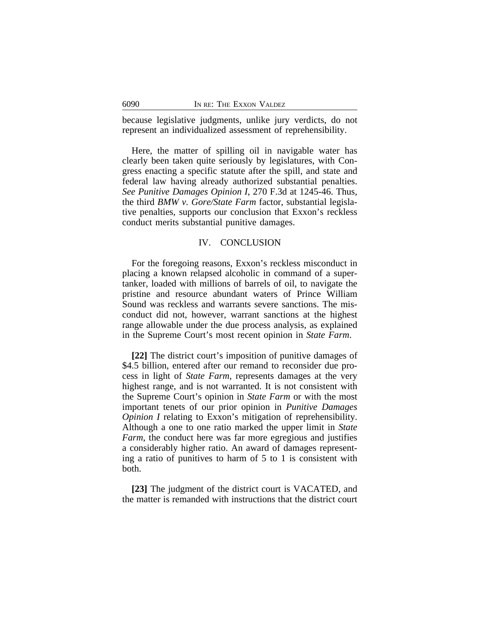because legislative judgments, unlike jury verdicts, do not represent an individualized assessment of reprehensibility.

Here, the matter of spilling oil in navigable water has clearly been taken quite seriously by legislatures, with Congress enacting a specific statute after the spill, and state and federal law having already authorized substantial penalties. *See Punitive Damages Opinion I*, 270 F.3d at 1245-46. Thus, the third *BMW v. Gore/State Farm* factor, substantial legislative penalties, supports our conclusion that Exxon's reckless conduct merits substantial punitive damages.

# IV. CONCLUSION

For the foregoing reasons, Exxon's reckless misconduct in placing a known relapsed alcoholic in command of a supertanker, loaded with millions of barrels of oil, to navigate the pristine and resource abundant waters of Prince William Sound was reckless and warrants severe sanctions. The misconduct did not, however, warrant sanctions at the highest range allowable under the due process analysis, as explained in the Supreme Court's most recent opinion in *State Farm*.

**[22]** The district court's imposition of punitive damages of \$4.5 billion, entered after our remand to reconsider due process in light of *State Farm*, represents damages at the very highest range, and is not warranted. It is not consistent with the Supreme Court's opinion in *State Farm* or with the most important tenets of our prior opinion in *Punitive Damages Opinion I* relating to Exxon's mitigation of reprehensibility. Although a one to one ratio marked the upper limit in *State Farm*, the conduct here was far more egregious and justifies a considerably higher ratio. An award of damages representing a ratio of punitives to harm of 5 to 1 is consistent with both.

**[23]** The judgment of the district court is VACATED, and the matter is remanded with instructions that the district court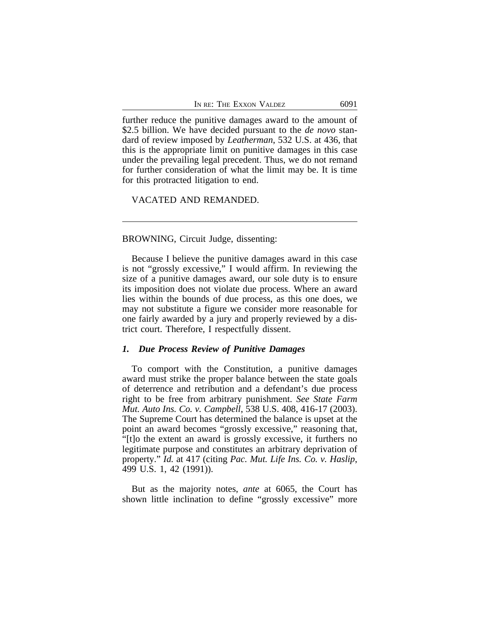further reduce the punitive damages award to the amount of \$2.5 billion. We have decided pursuant to the *de novo* standard of review imposed by *Leatherman*, 532 U.S. at 436, that this is the appropriate limit on punitive damages in this case under the prevailing legal precedent. Thus, we do not remand for further consideration of what the limit may be. It is time for this protracted litigation to end.

VACATED AND REMANDED.

#### BROWNING, Circuit Judge, dissenting:

Because I believe the punitive damages award in this case is not "grossly excessive," I would affirm. In reviewing the size of a punitive damages award, our sole duty is to ensure its imposition does not violate due process. Where an award lies within the bounds of due process, as this one does, we may not substitute a figure we consider more reasonable for one fairly awarded by a jury and properly reviewed by a district court. Therefore, I respectfully dissent.

#### *1. Due Process Review of Punitive Damages*

To comport with the Constitution, a punitive damages award must strike the proper balance between the state goals of deterrence and retribution and a defendant's due process right to be free from arbitrary punishment. *See State Farm Mut. Auto Ins. Co. v. Campbell*, 538 U.S. 408, 416-17 (2003). The Supreme Court has determined the balance is upset at the point an award becomes "grossly excessive," reasoning that, "[t]o the extent an award is grossly excessive, it furthers no legitimate purpose and constitutes an arbitrary deprivation of property." *Id.* at 417 (citing *Pac. Mut. Life Ins. Co. v. Haslip*, 499 U.S. 1, 42 (1991)).

But as the majority notes, *ante* at 6065, the Court has shown little inclination to define "grossly excessive" more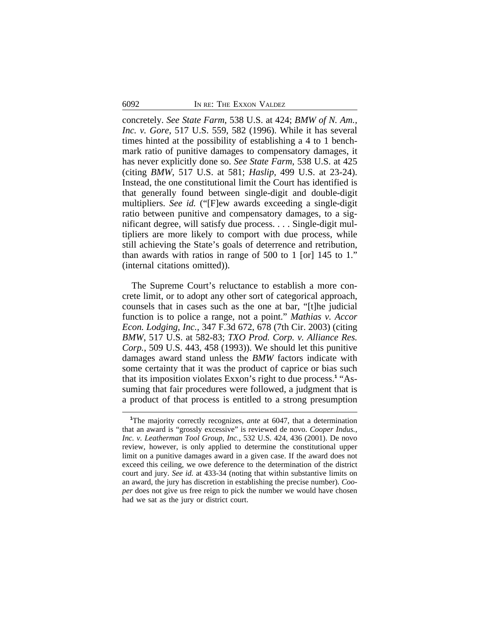concretely. *See State Farm*, 538 U.S. at 424; *BMW of N. Am., Inc. v. Gore*, 517 U.S. 559, 582 (1996). While it has several times hinted at the possibility of establishing a 4 to 1 benchmark ratio of punitive damages to compensatory damages, it has never explicitly done so. *See State Farm*, 538 U.S. at 425 (citing *BMW*, 517 U.S. at 581; *Haslip*, 499 U.S. at 23-24). Instead, the one constitutional limit the Court has identified is that generally found between single-digit and double-digit multipliers. *See id.* ("[F]ew awards exceeding a single-digit ratio between punitive and compensatory damages, to a significant degree, will satisfy due process. . . . Single-digit multipliers are more likely to comport with due process, while still achieving the State's goals of deterrence and retribution, than awards with ratios in range of 500 to 1 [or] 145 to 1." (internal citations omitted)).

The Supreme Court's reluctance to establish a more concrete limit, or to adopt any other sort of categorical approach, counsels that in cases such as the one at bar, "[t]he judicial function is to police a range, not a point." *Mathias v. Accor Econ. Lodging, Inc.*, 347 F.3d 672, 678 (7th Cir. 2003) (citing *BMW*, 517 U.S. at 582-83; *TXO Prod. Corp. v. Alliance Res. Corp.*, 509 U.S. 443, 458 (1993)). We should let this punitive damages award stand unless the *BMW* factors indicate with some certainty that it was the product of caprice or bias such that its imposition violates Exxon's right to due process.**<sup>1</sup>** "Assuming that fair procedures were followed, a judgment that is a product of that process is entitled to a strong presumption

**<sup>1</sup>**The majority correctly recognizes, *ante* at 6047, that a determination that an award is "grossly excessive" is reviewed de novo. *Cooper Indus., Inc. v. Leatherman Tool Group, Inc.*, 532 U.S. 424, 436 (2001). De novo review, however, is only applied to determine the constitutional upper limit on a punitive damages award in a given case. If the award does not exceed this ceiling, we owe deference to the determination of the district court and jury. *See id.* at 433-34 (noting that within substantive limits on an award, the jury has discretion in establishing the precise number). *Cooper* does not give us free reign to pick the number we would have chosen had we sat as the jury or district court.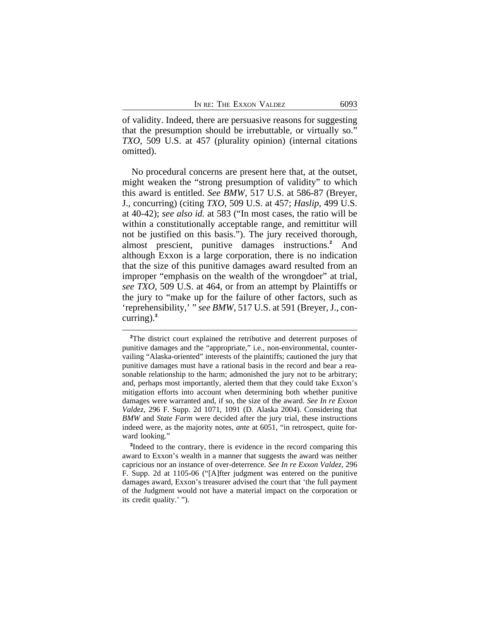of validity. Indeed, there are persuasive reasons for suggesting that the presumption should be irrebuttable, or virtually so." *TXO*, 509 U.S. at 457 (plurality opinion) (internal citations omitted).

No procedural concerns are present here that, at the outset, might weaken the "strong presumption of validity" to which this award is entitled. *See BMW*, 517 U.S. at 586-87 (Breyer, J., concurring) (citing *TXO*, 509 U.S. at 457; *Haslip*, 499 U.S. at 40-42); *see also id.* at 583 ("In most cases, the ratio will be within a constitutionally acceptable range, and remittitur will not be justified on this basis."). The jury received thorough, almost prescient, punitive damages instructions.**<sup>2</sup>** And although Exxon is a large corporation, there is no indication that the size of this punitive damages award resulted from an improper "emphasis on the wealth of the wrongdoer" at trial, *see TXO*, 509 U.S. at 464, or from an attempt by Plaintiffs or the jury to "make up for the failure of other factors, such as 'reprehensibility,' " *see BMW*, 517 U.S. at 591 (Breyer, J., concurring).**<sup>3</sup>**

<sup>&</sup>lt;sup>2</sup>The district court explained the retributive and deterrent purposes of punitive damages and the "appropriate," i.e., non-environmental, countervailing "Alaska-oriented" interests of the plaintiffs; cautioned the jury that punitive damages must have a rational basis in the record and bear a reasonable relationship to the harm; admonished the jury not to be arbitrary; and, perhaps most importantly, alerted them that they could take Exxon's mitigation efforts into account when determining both whether punitive damages were warranted and, if so, the size of the award. *See In re Exxon Valdez*, 296 F. Supp. 2d 1071, 1091 (D. Alaska 2004). Considering that *BMW* and *State Farm* were decided after the jury trial, these instructions indeed were, as the majority notes, *ante* at 6051, "in retrospect, quite forward looking."

<sup>&</sup>lt;sup>3</sup>Indeed to the contrary, there is evidence in the record comparing this award to Exxon's wealth in a manner that suggests the award was neither capricious nor an instance of over-deterrence. *See In re Exxon Valdez*, 296 F. Supp. 2d at 1105-06 ("[A]fter judgment was entered on the punitive damages award, Exxon's treasurer advised the court that 'the full payment of the Judgment would not have a material impact on the corporation or its credit quality.' ").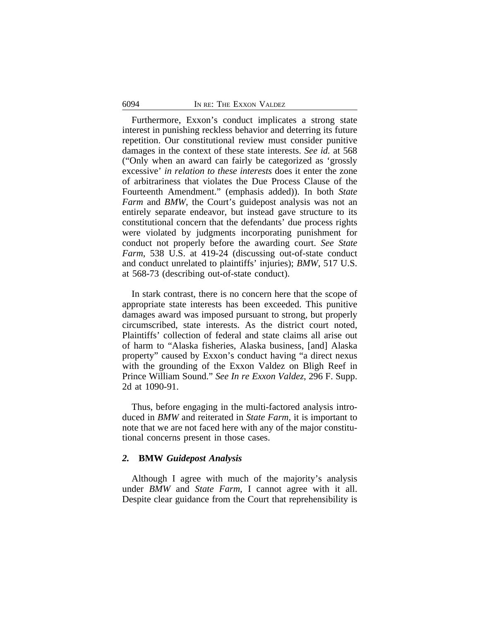Furthermore, Exxon's conduct implicates a strong state interest in punishing reckless behavior and deterring its future repetition. Our constitutional review must consider punitive damages in the context of these state interests. *See id.* at 568 ("Only when an award can fairly be categorized as 'grossly excessive' *in relation to these interests* does it enter the zone of arbitrariness that violates the Due Process Clause of the Fourteenth Amendment." (emphasis added)). In both *State Farm* and *BMW*, the Court's guidepost analysis was not an entirely separate endeavor, but instead gave structure to its constitutional concern that the defendants' due process rights were violated by judgments incorporating punishment for conduct not properly before the awarding court. *See State Farm*, 538 U.S. at 419-24 (discussing out-of-state conduct and conduct unrelated to plaintiffs' injuries); *BMW*, 517 U.S. at 568-73 (describing out-of-state conduct).

In stark contrast, there is no concern here that the scope of appropriate state interests has been exceeded. This punitive damages award was imposed pursuant to strong, but properly circumscribed, state interests. As the district court noted, Plaintiffs' collection of federal and state claims all arise out of harm to "Alaska fisheries, Alaska business, [and] Alaska property" caused by Exxon's conduct having "a direct nexus with the grounding of the Exxon Valdez on Bligh Reef in Prince William Sound." *See In re Exxon Valdez*, 296 F. Supp. 2d at 1090-91.

Thus, before engaging in the multi-factored analysis introduced in *BMW* and reiterated in *State Farm*, it is important to note that we are not faced here with any of the major constitutional concerns present in those cases.

# *2.* **BMW** *Guidepost Analysis*

Although I agree with much of the majority's analysis under *BMW* and *State Farm*, I cannot agree with it all. Despite clear guidance from the Court that reprehensibility is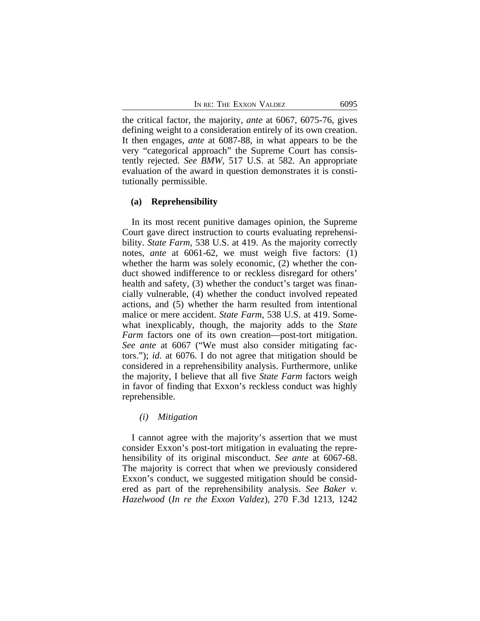the critical factor, the majority, *ante* at 6067, 6075-76, gives defining weight to a consideration entirely of its own creation. It then engages, *ante* at 6087-88, in what appears to be the very "categorical approach" the Supreme Court has consistently rejected. *See BMW*, 517 U.S. at 582. An appropriate evaluation of the award in question demonstrates it is constitutionally permissible.

#### **(a) Reprehensibility**

In its most recent punitive damages opinion, the Supreme Court gave direct instruction to courts evaluating reprehensibility. *State Farm*, 538 U.S. at 419. As the majority correctly notes, *ante* at 6061-62, we must weigh five factors: (1) whether the harm was solely economic, (2) whether the conduct showed indifference to or reckless disregard for others' health and safety, (3) whether the conduct's target was financially vulnerable, (4) whether the conduct involved repeated actions, and (5) whether the harm resulted from intentional malice or mere accident. *State Farm*, 538 U.S. at 419. Somewhat inexplicably, though, the majority adds to the *State Farm* factors one of its own creation—post-tort mitigation. *See ante* at 6067 ("We must also consider mitigating factors."); *id.* at 6076. I do not agree that mitigation should be considered in a reprehensibility analysis. Furthermore, unlike the majority, I believe that all five *State Farm* factors weigh in favor of finding that Exxon's reckless conduct was highly reprehensible.

# *(i) Mitigation*

I cannot agree with the majority's assertion that we must consider Exxon's post-tort mitigation in evaluating the reprehensibility of its original misconduct. *See ante* at 6067-68. The majority is correct that when we previously considered Exxon's conduct, we suggested mitigation should be considered as part of the reprehensibility analysis. *See Baker v. Hazelwood* (*In re the Exxon Valdez*), 270 F.3d 1213, 1242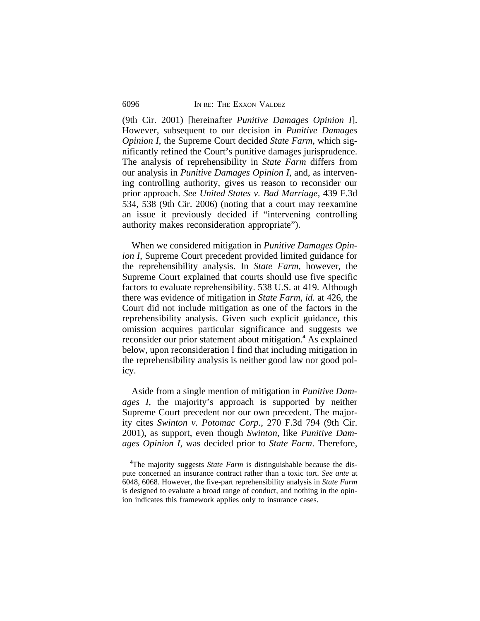(9th Cir. 2001) [hereinafter *Punitive Damages Opinion I*]. However, subsequent to our decision in *Punitive Damages Opinion I*, the Supreme Court decided *State Farm*, which significantly refined the Court's punitive damages jurisprudence. The analysis of reprehensibility in *State Farm* differs from our analysis in *Punitive Damages Opinion I*, and, as intervening controlling authority, gives us reason to reconsider our prior approach. *See United States v. Bad Marriage*, 439 F.3d 534, 538 (9th Cir. 2006) (noting that a court may reexamine an issue it previously decided if "intervening controlling authority makes reconsideration appropriate").

When we considered mitigation in *Punitive Damages Opinion I*, Supreme Court precedent provided limited guidance for the reprehensibility analysis. In *State Farm*, however, the Supreme Court explained that courts should use five specific factors to evaluate reprehensibility. 538 U.S. at 419. Although there was evidence of mitigation in *State Farm*, *id.* at 426, the Court did not include mitigation as one of the factors in the reprehensibility analysis. Given such explicit guidance, this omission acquires particular significance and suggests we reconsider our prior statement about mitigation.**<sup>4</sup>** As explained below, upon reconsideration I find that including mitigation in the reprehensibility analysis is neither good law nor good policy.

Aside from a single mention of mitigation in *Punitive Damages I*, the majority's approach is supported by neither Supreme Court precedent nor our own precedent. The majority cites *Swinton v. Potomac Corp.*, 270 F.3d 794 (9th Cir. 2001), as support, even though *Swinton*, like *Punitive Damages Opinion I*, was decided prior to *State Farm*. Therefore,

**<sup>4</sup>**The majority suggests *State Farm* is distinguishable because the dispute concerned an insurance contract rather than a toxic tort. *See ante* at 6048, 6068. However, the five-part reprehensibility analysis in *State Farm* is designed to evaluate a broad range of conduct, and nothing in the opinion indicates this framework applies only to insurance cases.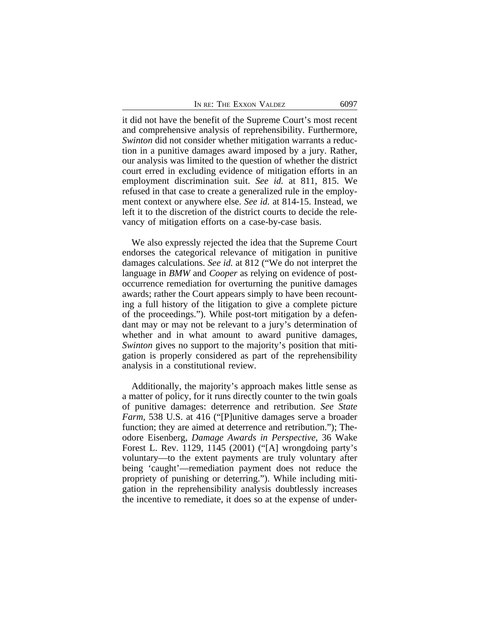|  | In re: The Exxon Valdez | 6097 |
|--|-------------------------|------|
|  |                         |      |

it did not have the benefit of the Supreme Court's most recent and comprehensive analysis of reprehensibility. Furthermore, *Swinton* did not consider whether mitigation warrants a reduction in a punitive damages award imposed by a jury. Rather, our analysis was limited to the question of whether the district court erred in excluding evidence of mitigation efforts in an employment discrimination suit. *See id.* at 811, 815. We refused in that case to create a generalized rule in the employment context or anywhere else. *See id.* at 814-15. Instead, we left it to the discretion of the district courts to decide the relevancy of mitigation efforts on a case-by-case basis.

We also expressly rejected the idea that the Supreme Court endorses the categorical relevance of mitigation in punitive damages calculations. *See id.* at 812 ("We do not interpret the language in *BMW* and *Cooper* as relying on evidence of postoccurrence remediation for overturning the punitive damages awards; rather the Court appears simply to have been recounting a full history of the litigation to give a complete picture of the proceedings."). While post-tort mitigation by a defendant may or may not be relevant to a jury's determination of whether and in what amount to award punitive damages, *Swinton* gives no support to the majority's position that mitigation is properly considered as part of the reprehensibility analysis in a constitutional review.

Additionally, the majority's approach makes little sense as a matter of policy, for it runs directly counter to the twin goals of punitive damages: deterrence and retribution. *See State Farm*, 538 U.S. at 416 ("[P]unitive damages serve a broader function; they are aimed at deterrence and retribution."); Theodore Eisenberg, *Damage Awards in Perspective*, 36 Wake Forest L. Rev. 1129, 1145 (2001) ("[A] wrongdoing party's voluntary—to the extent payments are truly voluntary after being 'caught'—remediation payment does not reduce the propriety of punishing or deterring."). While including mitigation in the reprehensibility analysis doubtlessly increases the incentive to remediate, it does so at the expense of under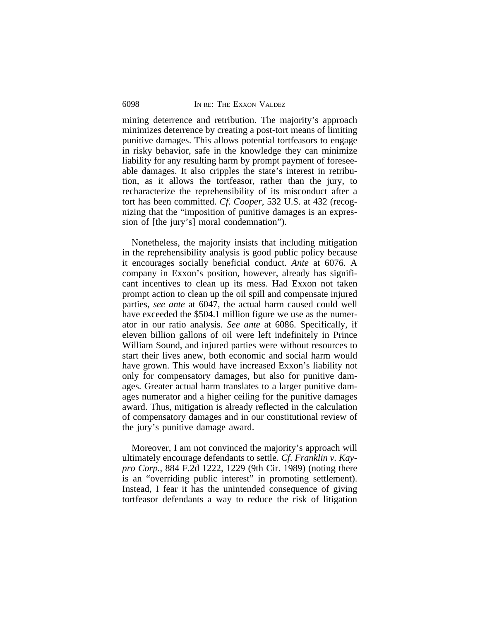mining deterrence and retribution. The majority's approach minimizes deterrence by creating a post-tort means of limiting punitive damages. This allows potential tortfeasors to engage in risky behavior, safe in the knowledge they can minimize liability for any resulting harm by prompt payment of foreseeable damages. It also cripples the state's interest in retribution, as it allows the tortfeasor, rather than the jury, to recharacterize the reprehensibility of its misconduct after a tort has been committed. *Cf*. *Cooper*, 532 U.S. at 432 (recognizing that the "imposition of punitive damages is an expression of [the jury's] moral condemnation").

Nonetheless, the majority insists that including mitigation in the reprehensibility analysis is good public policy because it encourages socially beneficial conduct. *Ante* at 6076. A company in Exxon's position, however, already has significant incentives to clean up its mess. Had Exxon not taken prompt action to clean up the oil spill and compensate injured parties, *see ante* at 6047, the actual harm caused could well have exceeded the \$504.1 million figure we use as the numerator in our ratio analysis. *See ante* at 6086. Specifically, if eleven billion gallons of oil were left indefinitely in Prince William Sound, and injured parties were without resources to start their lives anew, both economic and social harm would have grown. This would have increased Exxon's liability not only for compensatory damages, but also for punitive damages. Greater actual harm translates to a larger punitive damages numerator and a higher ceiling for the punitive damages award. Thus, mitigation is already reflected in the calculation of compensatory damages and in our constitutional review of the jury's punitive damage award.

Moreover, I am not convinced the majority's approach will ultimately encourage defendants to settle. *Cf*. *Franklin v. Kaypro Corp.*, 884 F.2d 1222, 1229 (9th Cir. 1989) (noting there is an "overriding public interest" in promoting settlement). Instead, I fear it has the unintended consequence of giving tortfeasor defendants a way to reduce the risk of litigation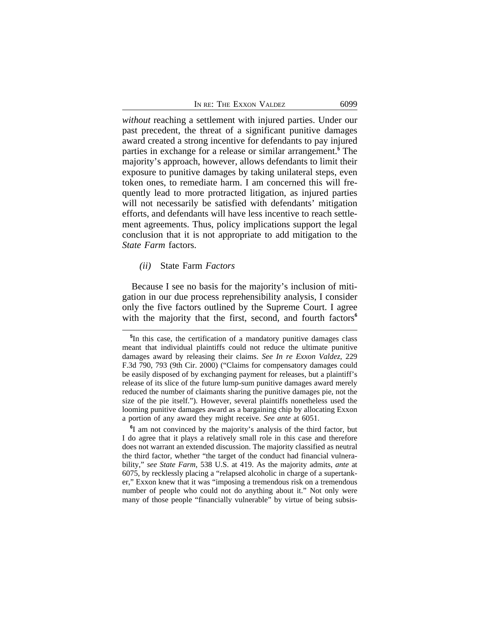|  | In re: The Exxon Valdez | 6099 |
|--|-------------------------|------|
|  |                         |      |

*without* reaching a settlement with injured parties. Under our past precedent, the threat of a significant punitive damages award created a strong incentive for defendants to pay injured parties in exchange for a release or similar arrangement.**<sup>5</sup>** The majority's approach, however, allows defendants to limit their exposure to punitive damages by taking unilateral steps, even token ones, to remediate harm. I am concerned this will frequently lead to more protracted litigation, as injured parties will not necessarily be satisfied with defendants' mitigation efforts, and defendants will have less incentive to reach settlement agreements. Thus, policy implications support the legal conclusion that it is not appropriate to add mitigation to the *State Farm* factors.

#### *(ii)* State Farm *Factors*

Because I see no basis for the majority's inclusion of mitigation in our due process reprehensibility analysis, I consider only the five factors outlined by the Supreme Court. I agree with the majority that the first, second, and fourth factors<sup>6</sup>

**6** I am not convinced by the majority's analysis of the third factor, but I do agree that it plays a relatively small role in this case and therefore does not warrant an extended discussion. The majority classified as neutral the third factor, whether "the target of the conduct had financial vulnerability," *see State Farm*, 538 U.S. at 419. As the majority admits, *ante* at 6075, by recklessly placing a "relapsed alcoholic in charge of a supertanker," Exxon knew that it was "imposing a tremendous risk on a tremendous number of people who could not do anything about it." Not only were many of those people "financially vulnerable" by virtue of being subsis-

**<sup>5</sup>** In this case, the certification of a mandatory punitive damages class meant that individual plaintiffs could not reduce the ultimate punitive damages award by releasing their claims. *See In re Exxon Valdez*, 229 F.3d 790, 793 (9th Cir. 2000) ("Claims for compensatory damages could be easily disposed of by exchanging payment for releases, but a plaintiff's release of its slice of the future lump-sum punitive damages award merely reduced the number of claimants sharing the punitive damages pie, not the size of the pie itself."). However, several plaintiffs nonetheless used the looming punitive damages award as a bargaining chip by allocating Exxon a portion of any award they might receive. *See ante* at 6051.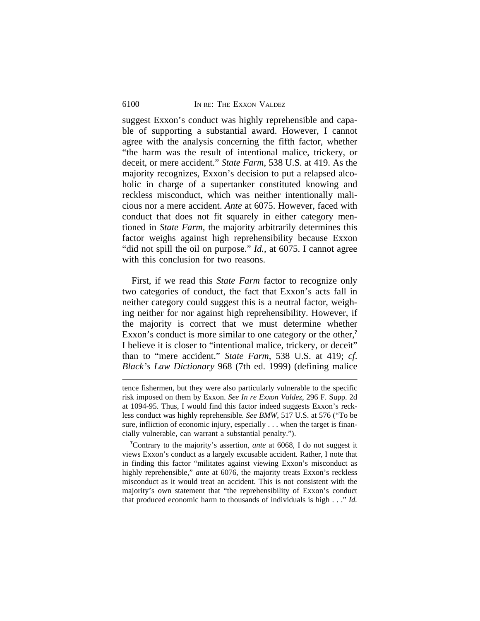suggest Exxon's conduct was highly reprehensible and capable of supporting a substantial award. However, I cannot agree with the analysis concerning the fifth factor, whether "the harm was the result of intentional malice, trickery, or deceit, or mere accident." *State Farm*, 538 U.S. at 419. As the majority recognizes, Exxon's decision to put a relapsed alcoholic in charge of a supertanker constituted knowing and reckless misconduct, which was neither intentionally malicious nor a mere accident. *Ante* at 6075. However, faced with conduct that does not fit squarely in either category mentioned in *State Farm*, the majority arbitrarily determines this factor weighs against high reprehensibility because Exxon "did not spill the oil on purpose." *Id.*, at 6075. I cannot agree with this conclusion for two reasons.

First, if we read this *State Farm* factor to recognize only two categories of conduct, the fact that Exxon's acts fall in neither category could suggest this is a neutral factor, weighing neither for nor against high reprehensibility. However, if the majority is correct that we must determine whether Exxon's conduct is more similar to one category or the other,<sup>7</sup> I believe it is closer to "intentional malice, trickery, or deceit" than to "mere accident." *State Farm*, 538 U.S. at 419; *cf*. *Black's Law Dictionary* 968 (7th ed. 1999) (defining malice

tence fishermen, but they were also particularly vulnerable to the specific risk imposed on them by Exxon. *See In re Exxon Valdez*, 296 F. Supp. 2d at 1094-95. Thus, I would find this factor indeed suggests Exxon's reckless conduct was highly reprehensible. *See BMW*, 517 U.S. at 576 ("To be sure, infliction of economic injury, especially . . . when the target is financially vulnerable, can warrant a substantial penalty.").

**<sup>7</sup>**Contrary to the majority's assertion, *ante* at 6068, I do not suggest it views Exxon's conduct as a largely excusable accident. Rather, I note that in finding this factor "militates against viewing Exxon's misconduct as highly reprehensible," *ante* at 6076, the majority treats Exxon's reckless misconduct as it would treat an accident. This is not consistent with the majority's own statement that "the reprehensibility of Exxon's conduct that produced economic harm to thousands of individuals is high . . ." *Id.*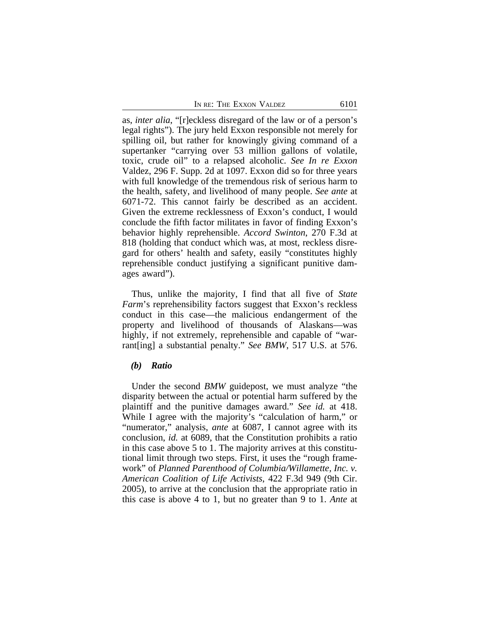|  | In re: The Exxon Valdez | 6101 |
|--|-------------------------|------|
|  |                         |      |

as, *inter alia*, "[r]eckless disregard of the law or of a person's legal rights"). The jury held Exxon responsible not merely for spilling oil, but rather for knowingly giving command of a supertanker "carrying over 53 million gallons of volatile, toxic, crude oil" to a relapsed alcoholic. *See In re Exxon* Valdez, 296 F. Supp. 2d at 1097. Exxon did so for three years with full knowledge of the tremendous risk of serious harm to the health, safety, and livelihood of many people. *See ante* at 6071-72. This cannot fairly be described as an accident. Given the extreme recklessness of Exxon's conduct, I would conclude the fifth factor militates in favor of finding Exxon's behavior highly reprehensible. *Accord Swinton*, 270 F.3d at 818 (holding that conduct which was, at most, reckless disregard for others' health and safety, easily "constitutes highly reprehensible conduct justifying a significant punitive damages award").

Thus, unlike the majority, I find that all five of *State Farm*'s reprehensibility factors suggest that Exxon's reckless conduct in this case—the malicious endangerment of the property and livelihood of thousands of Alaskans—was highly, if not extremely, reprehensible and capable of "warrant[ing] a substantial penalty." *See BMW*, 517 U.S. at 576.

# *(b) Ratio*

Under the second *BMW* guidepost, we must analyze "the disparity between the actual or potential harm suffered by the plaintiff and the punitive damages award." *See id.* at 418. While I agree with the majority's "calculation of harm," or "numerator," analysis, *ante* at 6087, I cannot agree with its conclusion, *id.* at 6089, that the Constitution prohibits a ratio in this case above 5 to 1. The majority arrives at this constitutional limit through two steps. First, it uses the "rough framework" of *Planned Parenthood of Columbia/Willamette, Inc. v. American Coalition of Life Activists*, 422 F.3d 949 (9th Cir. 2005), to arrive at the conclusion that the appropriate ratio in this case is above 4 to 1, but no greater than 9 to 1. *Ante* at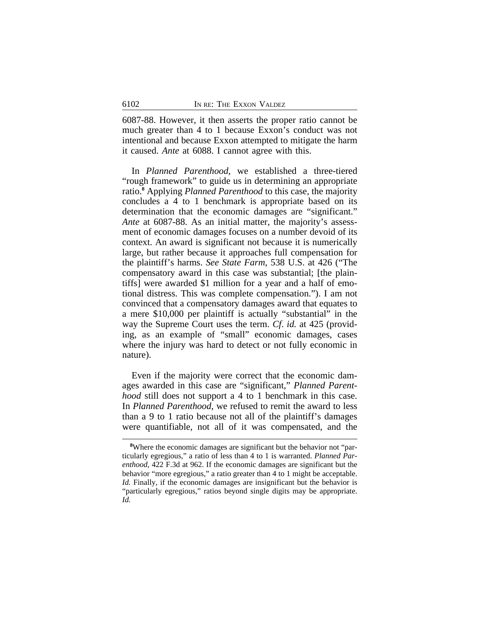6087-88. However, it then asserts the proper ratio cannot be much greater than 4 to 1 because Exxon's conduct was not intentional and because Exxon attempted to mitigate the harm it caused. *Ante* at 6088. I cannot agree with this.

In *Planned Parenthood*, we established a three-tiered "rough framework" to guide us in determining an appropriate ratio.**<sup>8</sup>** Applying *Planned Parenthood* to this case, the majority concludes a 4 to 1 benchmark is appropriate based on its determination that the economic damages are "significant." *Ante* at 6087-88. As an initial matter, the majority's assessment of economic damages focuses on a number devoid of its context. An award is significant not because it is numerically large, but rather because it approaches full compensation for the plaintiff's harms. *See State Farm*, 538 U.S. at 426 ("The compensatory award in this case was substantial; [the plaintiffs] were awarded \$1 million for a year and a half of emotional distress. This was complete compensation."). I am not convinced that a compensatory damages award that equates to a mere \$10,000 per plaintiff is actually "substantial" in the way the Supreme Court uses the term. *Cf*. *id.* at 425 (providing, as an example of "small" economic damages, cases where the injury was hard to detect or not fully economic in nature).

Even if the majority were correct that the economic damages awarded in this case are "significant," *Planned Parenthood* still does not support a 4 to 1 benchmark in this case. In *Planned Parenthood*, we refused to remit the award to less than a 9 to 1 ratio because not all of the plaintiff's damages were quantifiable, not all of it was compensated, and the

**<sup>8</sup>**Where the economic damages are significant but the behavior not "particularly egregious," a ratio of less than 4 to 1 is warranted. *Planned Parenthood*, 422 F.3d at 962. If the economic damages are significant but the behavior "more egregious," a ratio greater than 4 to 1 might be acceptable. *Id.* Finally, if the economic damages are insignificant but the behavior is "particularly egregious," ratios beyond single digits may be appropriate. *Id.*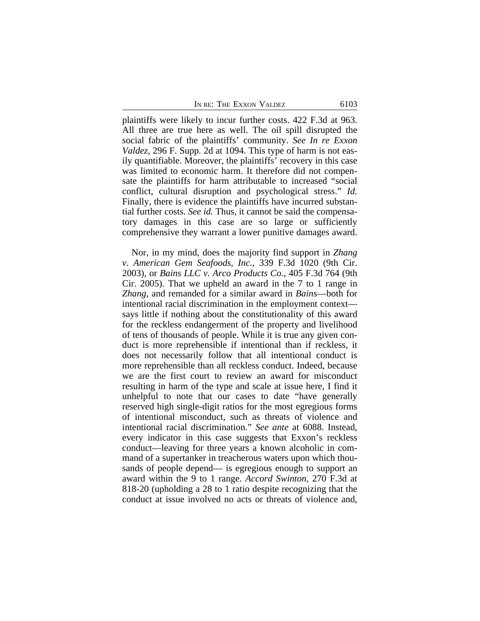plaintiffs were likely to incur further costs. 422 F.3d at 963. All three are true here as well. The oil spill disrupted the social fabric of the plaintiffs' community. *See In re Exxon Valdez*, 296 F. Supp. 2d at 1094. This type of harm is not easily quantifiable. Moreover, the plaintiffs' recovery in this case was limited to economic harm. It therefore did not compensate the plaintiffs for harm attributable to increased "social conflict, cultural disruption and psychological stress." *Id.* Finally, there is evidence the plaintiffs have incurred substantial further costs. *See id.* Thus, it cannot be said the compensatory damages in this case are so large or sufficiently comprehensive they warrant a lower punitive damages award.

Nor, in my mind, does the majority find support in *Zhang v. American Gem Seafoods, Inc.*, 339 F.3d 1020 (9th Cir. 2003), or *Bains LLC v. Arco Products Co.*, 405 F.3d 764 (9th Cir. 2005). That we upheld an award in the 7 to 1 range in *Zhang*, and remanded for a similar award in *Bains*—both for intentional racial discrimination in the employment context says little if nothing about the constitutionality of this award for the reckless endangerment of the property and livelihood of tens of thousands of people. While it is true any given conduct is more reprehensible if intentional than if reckless, it does not necessarily follow that all intentional conduct is more reprehensible than all reckless conduct. Indeed, because we are the first court to review an award for misconduct resulting in harm of the type and scale at issue here, I find it unhelpful to note that our cases to date "have generally reserved high single-digit ratios for the most egregious forms of intentional misconduct, such as threats of violence and intentional racial discrimination." *See ante* at 6088. Instead, every indicator in this case suggests that Exxon's reckless conduct—leaving for three years a known alcoholic in command of a supertanker in treacherous waters upon which thousands of people depend— is egregious enough to support an award within the 9 to 1 range. *Accord Swinton*, 270 F.3d at 818-20 (upholding a 28 to 1 ratio despite recognizing that the conduct at issue involved no acts or threats of violence and,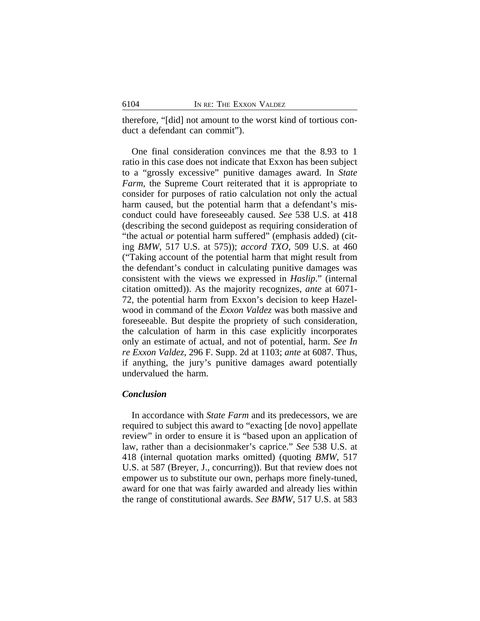therefore, "[did] not amount to the worst kind of tortious conduct a defendant can commit").

One final consideration convinces me that the 8.93 to 1 ratio in this case does not indicate that Exxon has been subject to a "grossly excessive" punitive damages award. In *State Farm*, the Supreme Court reiterated that it is appropriate to consider for purposes of ratio calculation not only the actual harm caused, but the potential harm that a defendant's misconduct could have foreseeably caused. *See* 538 U.S. at 418 (describing the second guidepost as requiring consideration of "the actual *or* potential harm suffered" (emphasis added) (citing *BMW*, 517 U.S. at 575)); *accord TXO*, 509 U.S. at 460 ("Taking account of the potential harm that might result from the defendant's conduct in calculating punitive damages was consistent with the views we expressed in *Haslip*." (internal citation omitted)). As the majority recognizes, *ante* at 6071- 72, the potential harm from Exxon's decision to keep Hazelwood in command of the *Exxon Valdez* was both massive and foreseeable. But despite the propriety of such consideration, the calculation of harm in this case explicitly incorporates only an estimate of actual, and not of potential, harm. *See In re Exxon Valdez*, 296 F. Supp. 2d at 1103; *ante* at 6087. Thus, if anything, the jury's punitive damages award potentially undervalued the harm.

# *Conclusion*

In accordance with *State Farm* and its predecessors, we are required to subject this award to "exacting [de novo] appellate review" in order to ensure it is "based upon an application of law, rather than a decisionmaker's caprice." *See* 538 U.S. at 418 (internal quotation marks omitted) (quoting *BMW*, 517 U.S. at 587 (Breyer, J., concurring)). But that review does not empower us to substitute our own, perhaps more finely-tuned, award for one that was fairly awarded and already lies within the range of constitutional awards. *See BMW*, 517 U.S. at 583